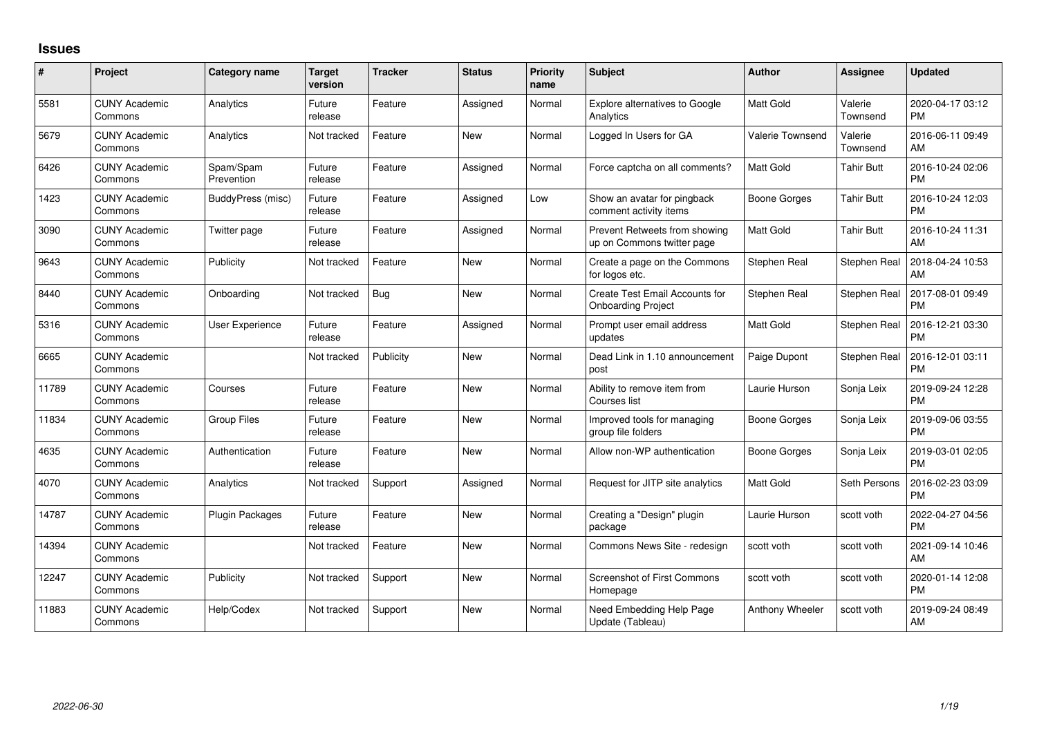## **Issues**

| #     | Project                         | <b>Category name</b>    | <b>Target</b><br>version | <b>Tracker</b> | <b>Status</b> | <b>Priority</b><br>name | Subject                                                     | <b>Author</b>    | <b>Assignee</b>     | <b>Updated</b>                |
|-------|---------------------------------|-------------------------|--------------------------|----------------|---------------|-------------------------|-------------------------------------------------------------|------------------|---------------------|-------------------------------|
| 5581  | <b>CUNY Academic</b><br>Commons | Analytics               | Future<br>release        | Feature        | Assigned      | Normal                  | Explore alternatives to Google<br>Analytics                 | Matt Gold        | Valerie<br>Townsend | 2020-04-17 03:12<br><b>PM</b> |
| 5679  | <b>CUNY Academic</b><br>Commons | Analytics               | Not tracked              | Feature        | New           | Normal                  | Logged In Users for GA                                      | Valerie Townsend | Valerie<br>Townsend | 2016-06-11 09:49<br>AM        |
| 6426  | <b>CUNY Academic</b><br>Commons | Spam/Spam<br>Prevention | Future<br>release        | Feature        | Assigned      | Normal                  | Force captcha on all comments?                              | Matt Gold        | Tahir Butt          | 2016-10-24 02:06<br><b>PM</b> |
| 1423  | <b>CUNY Academic</b><br>Commons | BuddyPress (misc)       | Future<br>release        | Feature        | Assigned      | Low                     | Show an avatar for pingback<br>comment activity items       | Boone Gorges     | <b>Tahir Butt</b>   | 2016-10-24 12:03<br><b>PM</b> |
| 3090  | <b>CUNY Academic</b><br>Commons | Twitter page            | Future<br>release        | Feature        | Assigned      | Normal                  | Prevent Retweets from showing<br>up on Commons twitter page | Matt Gold        | <b>Tahir Butt</b>   | 2016-10-24 11:31<br>AM        |
| 9643  | <b>CUNY Academic</b><br>Commons | Publicity               | Not tracked              | Feature        | <b>New</b>    | Normal                  | Create a page on the Commons<br>for logos etc.              | Stephen Real     | Stephen Real        | 2018-04-24 10:53<br>AM        |
| 8440  | <b>CUNY Academic</b><br>Commons | Onboarding              | Not tracked              | Bug            | <b>New</b>    | Normal                  | Create Test Email Accounts for<br><b>Onboarding Project</b> | Stephen Real     | Stephen Real        | 2017-08-01 09:49<br><b>PM</b> |
| 5316  | <b>CUNY Academic</b><br>Commons | <b>User Experience</b>  | Future<br>release        | Feature        | Assigned      | Normal                  | Prompt user email address<br>updates                        | <b>Matt Gold</b> | Stephen Real        | 2016-12-21 03:30<br><b>PM</b> |
| 6665  | <b>CUNY Academic</b><br>Commons |                         | Not tracked              | Publicity      | New           | Normal                  | Dead Link in 1.10 announcement<br>post                      | Paige Dupont     | Stephen Real        | 2016-12-01 03:11<br><b>PM</b> |
| 11789 | <b>CUNY Academic</b><br>Commons | Courses                 | Future<br>release        | Feature        | New           | Normal                  | Ability to remove item from<br>Courses list                 | Laurie Hurson    | Sonja Leix          | 2019-09-24 12:28<br><b>PM</b> |
| 11834 | <b>CUNY Academic</b><br>Commons | <b>Group Files</b>      | Future<br>release        | Feature        | New           | Normal                  | Improved tools for managing<br>group file folders           | Boone Gorges     | Sonja Leix          | 2019-09-06 03:55<br><b>PM</b> |
| 4635  | <b>CUNY Academic</b><br>Commons | Authentication          | Future<br>release        | Feature        | <b>New</b>    | Normal                  | Allow non-WP authentication                                 | Boone Gorges     | Sonja Leix          | 2019-03-01 02:05<br><b>PM</b> |
| 4070  | <b>CUNY Academic</b><br>Commons | Analytics               | Not tracked              | Support        | Assigned      | Normal                  | Request for JITP site analytics                             | <b>Matt Gold</b> | Seth Persons        | 2016-02-23 03:09<br><b>PM</b> |
| 14787 | <b>CUNY Academic</b><br>Commons | Plugin Packages         | Future<br>release        | Feature        | <b>New</b>    | Normal                  | Creating a "Design" plugin<br>package                       | Laurie Hurson    | scott voth          | 2022-04-27 04:56<br><b>PM</b> |
| 14394 | <b>CUNY Academic</b><br>Commons |                         | Not tracked              | Feature        | <b>New</b>    | Normal                  | Commons News Site - redesign                                | scott voth       | scott voth          | 2021-09-14 10:46<br>AM        |
| 12247 | <b>CUNY Academic</b><br>Commons | Publicity               | Not tracked              | Support        | New           | Normal                  | <b>Screenshot of First Commons</b><br>Homepage              | scott voth       | scott voth          | 2020-01-14 12:08<br><b>PM</b> |
| 11883 | <b>CUNY Academic</b><br>Commons | Help/Codex              | Not tracked              | Support        | <b>New</b>    | Normal                  | Need Embedding Help Page<br>Update (Tableau)                | Anthony Wheeler  | scott voth          | 2019-09-24 08:49<br>AM        |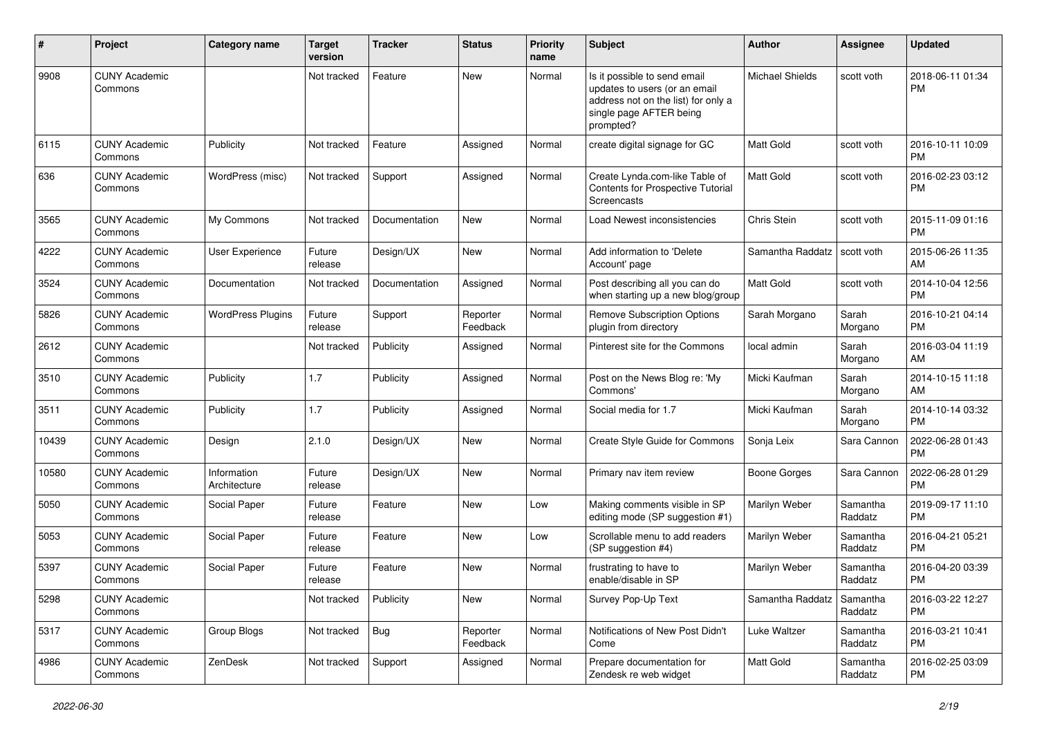| #     | Project                         | Category name               | <b>Target</b><br>version | <b>Tracker</b> | <b>Status</b>        | <b>Priority</b><br>name | Subject                                                                                                                                      | Author           | Assignee            | <b>Updated</b>                |
|-------|---------------------------------|-----------------------------|--------------------------|----------------|----------------------|-------------------------|----------------------------------------------------------------------------------------------------------------------------------------------|------------------|---------------------|-------------------------------|
| 9908  | <b>CUNY Academic</b><br>Commons |                             | Not tracked              | Feature        | New                  | Normal                  | Is it possible to send email<br>updates to users (or an email<br>address not on the list) for only a<br>single page AFTER being<br>prompted? | Michael Shields  | scott voth          | 2018-06-11 01:34<br><b>PM</b> |
| 6115  | <b>CUNY Academic</b><br>Commons | Publicity                   | Not tracked              | Feature        | Assigned             | Normal                  | create digital signage for GC                                                                                                                | <b>Matt Gold</b> | scott voth          | 2016-10-11 10:09<br><b>PM</b> |
| 636   | <b>CUNY Academic</b><br>Commons | WordPress (misc)            | Not tracked              | Support        | Assigned             | Normal                  | Create Lynda.com-like Table of<br>Contents for Prospective Tutorial<br>Screencasts                                                           | Matt Gold        | scott voth          | 2016-02-23 03:12<br><b>PM</b> |
| 3565  | <b>CUNY Academic</b><br>Commons | My Commons                  | Not tracked              | Documentation  | New                  | Normal                  | <b>Load Newest inconsistencies</b>                                                                                                           | Chris Stein      | scott voth          | 2015-11-09 01:16<br><b>PM</b> |
| 4222  | <b>CUNY Academic</b><br>Commons | <b>User Experience</b>      | Future<br>release        | Design/UX      | New                  | Normal                  | Add information to 'Delete<br>Account' page                                                                                                  | Samantha Raddatz | scott voth          | 2015-06-26 11:35<br>AM        |
| 3524  | <b>CUNY Academic</b><br>Commons | Documentation               | Not tracked              | Documentation  | Assigned             | Normal                  | Post describing all you can do<br>when starting up a new blog/group                                                                          | Matt Gold        | scott voth          | 2014-10-04 12:56<br><b>PM</b> |
| 5826  | <b>CUNY Academic</b><br>Commons | <b>WordPress Plugins</b>    | Future<br>release        | Support        | Reporter<br>Feedback | Normal                  | Remove Subscription Options<br>plugin from directory                                                                                         | Sarah Morgano    | Sarah<br>Morgano    | 2016-10-21 04:14<br><b>PM</b> |
| 2612  | <b>CUNY Academic</b><br>Commons |                             | Not tracked              | Publicity      | Assigned             | Normal                  | Pinterest site for the Commons                                                                                                               | local admin      | Sarah<br>Morgano    | 2016-03-04 11:19<br>AM        |
| 3510  | <b>CUNY Academic</b><br>Commons | Publicity                   | 1.7                      | Publicity      | Assigned             | Normal                  | Post on the News Blog re: 'My<br>Commons'                                                                                                    | Micki Kaufman    | Sarah<br>Morgano    | 2014-10-15 11:18<br>AM        |
| 3511  | <b>CUNY Academic</b><br>Commons | Publicity                   | 1.7                      | Publicity      | Assigned             | Normal                  | Social media for 1.7                                                                                                                         | Micki Kaufman    | Sarah<br>Morgano    | 2014-10-14 03:32<br><b>PM</b> |
| 10439 | <b>CUNY Academic</b><br>Commons | Design                      | 2.1.0                    | Design/UX      | <b>New</b>           | Normal                  | Create Style Guide for Commons                                                                                                               | Sonja Leix       | Sara Cannon         | 2022-06-28 01:43<br>РM        |
| 10580 | <b>CUNY Academic</b><br>Commons | Information<br>Architecture | Future<br>release        | Design/UX      | <b>New</b>           | Normal                  | Primary nav item review                                                                                                                      | Boone Gorges     | Sara Cannon         | 2022-06-28 01:29<br>РM        |
| 5050  | <b>CUNY Academic</b><br>Commons | Social Paper                | Future<br>release        | Feature        | <b>New</b>           | Low                     | Making comments visible in SP<br>editing mode (SP suggestion #1)                                                                             | Marilyn Weber    | Samantha<br>Raddatz | 2019-09-17 11:10<br><b>PM</b> |
| 5053  | <b>CUNY Academic</b><br>Commons | Social Paper                | Future<br>release        | Feature        | New                  | Low                     | Scrollable menu to add readers<br>(SP suggestion #4)                                                                                         | Marilyn Weber    | Samantha<br>Raddatz | 2016-04-21 05:21<br><b>PM</b> |
| 5397  | <b>CUNY Academic</b><br>Commons | Social Paper                | Future<br>release        | Feature        | <b>New</b>           | Normal                  | frustrating to have to<br>enable/disable in SP                                                                                               | Marilyn Weber    | Samantha<br>Raddatz | 2016-04-20 03:39<br><b>PM</b> |
| 5298  | <b>CUNY Academic</b><br>Commons |                             | Not tracked              | Publicity      | New                  | Normal                  | Survey Pop-Up Text                                                                                                                           | Samantha Raddatz | Samantha<br>Raddatz | 2016-03-22 12:27<br>PM        |
| 5317  | <b>CUNY Academic</b><br>Commons | Group Blogs                 | Not tracked              | <b>Bug</b>     | Reporter<br>Feedback | Normal                  | Notifications of New Post Didn't<br>Come                                                                                                     | Luke Waltzer     | Samantha<br>Raddatz | 2016-03-21 10:41<br>PM        |
| 4986  | <b>CUNY Academic</b><br>Commons | ZenDesk                     | Not tracked              | Support        | Assigned             | Normal                  | Prepare documentation for<br>Zendesk re web widget                                                                                           | Matt Gold        | Samantha<br>Raddatz | 2016-02-25 03:09<br>PM        |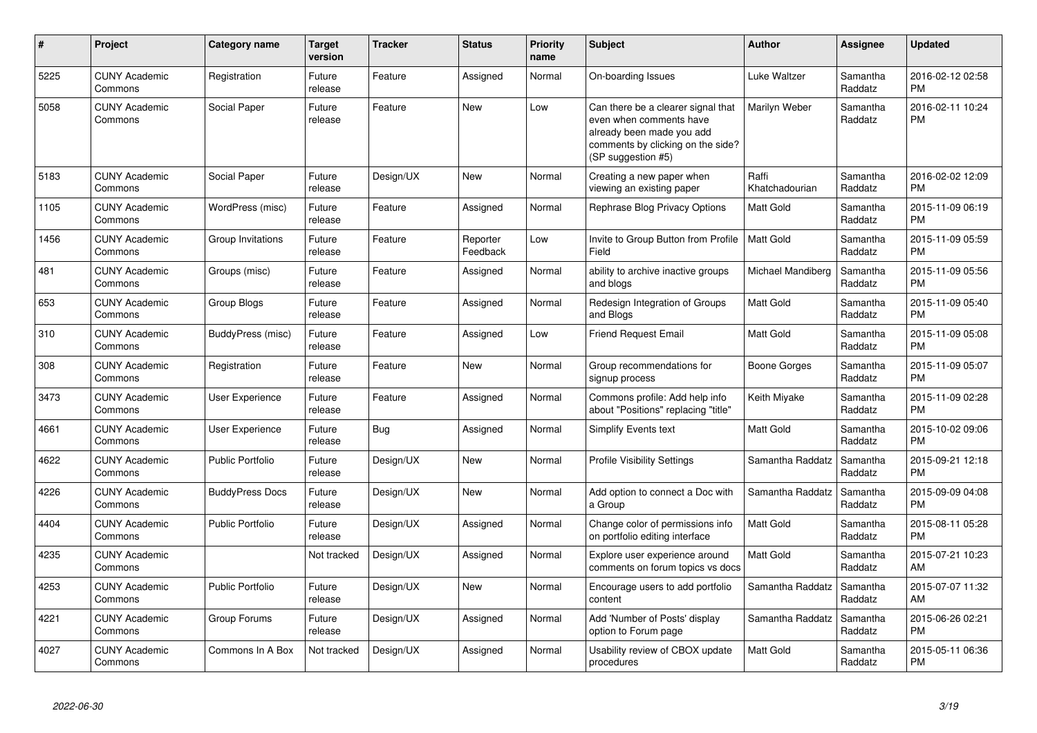| #    | <b>Project</b>                  | Category name           | <b>Target</b><br>version | <b>Tracker</b> | <b>Status</b>        | <b>Priority</b><br>name | <b>Subject</b>                                                                                                                                        | <b>Author</b>           | <b>Assignee</b>     | <b>Updated</b>                |
|------|---------------------------------|-------------------------|--------------------------|----------------|----------------------|-------------------------|-------------------------------------------------------------------------------------------------------------------------------------------------------|-------------------------|---------------------|-------------------------------|
| 5225 | <b>CUNY Academic</b><br>Commons | Registration            | Future<br>release        | Feature        | Assigned             | Normal                  | On-boarding Issues                                                                                                                                    | Luke Waltzer            | Samantha<br>Raddatz | 2016-02-12 02:58<br><b>PM</b> |
| 5058 | <b>CUNY Academic</b><br>Commons | Social Paper            | Future<br>release        | Feature        | <b>New</b>           | Low                     | Can there be a clearer signal that<br>even when comments have<br>already been made you add<br>comments by clicking on the side?<br>(SP suggestion #5) | Marilyn Weber           | Samantha<br>Raddatz | 2016-02-11 10:24<br><b>PM</b> |
| 5183 | <b>CUNY Academic</b><br>Commons | Social Paper            | Future<br>release        | Design/UX      | <b>New</b>           | Normal                  | Creating a new paper when<br>viewing an existing paper                                                                                                | Raffi<br>Khatchadourian | Samantha<br>Raddatz | 2016-02-02 12:09<br><b>PM</b> |
| 1105 | <b>CUNY Academic</b><br>Commons | WordPress (misc)        | Future<br>release        | Feature        | Assigned             | Normal                  | Rephrase Blog Privacy Options                                                                                                                         | <b>Matt Gold</b>        | Samantha<br>Raddatz | 2015-11-09 06:19<br><b>PM</b> |
| 1456 | <b>CUNY Academic</b><br>Commons | Group Invitations       | Future<br>release        | Feature        | Reporter<br>Feedback | Low                     | Invite to Group Button from Profile<br>Field                                                                                                          | <b>Matt Gold</b>        | Samantha<br>Raddatz | 2015-11-09 05:59<br><b>PM</b> |
| 481  | <b>CUNY Academic</b><br>Commons | Groups (misc)           | Future<br>release        | Feature        | Assigned             | Normal                  | ability to archive inactive groups<br>and blogs                                                                                                       | Michael Mandiberg       | Samantha<br>Raddatz | 2015-11-09 05:56<br><b>PM</b> |
| 653  | <b>CUNY Academic</b><br>Commons | Group Blogs             | Future<br>release        | Feature        | Assigned             | Normal                  | Redesign Integration of Groups<br>and Blogs                                                                                                           | <b>Matt Gold</b>        | Samantha<br>Raddatz | 2015-11-09 05:40<br><b>PM</b> |
| 310  | <b>CUNY Academic</b><br>Commons | BuddyPress (misc)       | Future<br>release        | Feature        | Assigned             | Low                     | <b>Friend Request Email</b>                                                                                                                           | <b>Matt Gold</b>        | Samantha<br>Raddatz | 2015-11-09 05:08<br><b>PM</b> |
| 308  | <b>CUNY Academic</b><br>Commons | Registration            | Future<br>release        | Feature        | <b>New</b>           | Normal                  | Group recommendations for<br>signup process                                                                                                           | Boone Gorges            | Samantha<br>Raddatz | 2015-11-09 05:07<br><b>PM</b> |
| 3473 | <b>CUNY Academic</b><br>Commons | User Experience         | Future<br>release        | Feature        | Assigned             | Normal                  | Commons profile: Add help info<br>about "Positions" replacing "title"                                                                                 | Keith Miyake            | Samantha<br>Raddatz | 2015-11-09 02:28<br><b>PM</b> |
| 4661 | <b>CUNY Academic</b><br>Commons | User Experience         | Future<br>release        | Bug            | Assigned             | Normal                  | Simplify Events text                                                                                                                                  | <b>Matt Gold</b>        | Samantha<br>Raddatz | 2015-10-02 09:06<br><b>PM</b> |
| 4622 | <b>CUNY Academic</b><br>Commons | <b>Public Portfolio</b> | Future<br>release        | Design/UX      | <b>New</b>           | Normal                  | <b>Profile Visibility Settings</b>                                                                                                                    | Samantha Raddatz        | Samantha<br>Raddatz | 2015-09-21 12:18<br><b>PM</b> |
| 4226 | <b>CUNY Academic</b><br>Commons | <b>BuddyPress Docs</b>  | Future<br>release        | Design/UX      | <b>New</b>           | Normal                  | Add option to connect a Doc with<br>a Group                                                                                                           | Samantha Raddatz        | Samantha<br>Raddatz | 2015-09-09 04:08<br><b>PM</b> |
| 4404 | <b>CUNY Academic</b><br>Commons | Public Portfolio        | Future<br>release        | Design/UX      | Assigned             | Normal                  | Change color of permissions info<br>on portfolio editing interface                                                                                    | <b>Matt Gold</b>        | Samantha<br>Raddatz | 2015-08-11 05:28<br><b>PM</b> |
| 4235 | <b>CUNY Academic</b><br>Commons |                         | Not tracked              | Design/UX      | Assigned             | Normal                  | Explore user experience around<br>comments on forum topics vs docs                                                                                    | <b>Matt Gold</b>        | Samantha<br>Raddatz | 2015-07-21 10:23<br>AM        |
| 4253 | <b>CUNY Academic</b><br>Commons | <b>Public Portfolio</b> | Future<br>release        | Design/UX      | <b>New</b>           | Normal                  | Encourage users to add portfolio<br>content                                                                                                           | Samantha Raddatz        | Samantha<br>Raddatz | 2015-07-07 11:32<br>AM        |
| 4221 | <b>CUNY Academic</b><br>Commons | Group Forums            | Future<br>release        | Design/UX      | Assigned             | Normal                  | Add 'Number of Posts' display<br>option to Forum page                                                                                                 | Samantha Raddatz        | Samantha<br>Raddatz | 2015-06-26 02:21<br><b>PM</b> |
| 4027 | <b>CUNY Academic</b><br>Commons | Commons In A Box        | Not tracked              | Design/UX      | Assigned             | Normal                  | Usability review of CBOX update<br>procedures                                                                                                         | <b>Matt Gold</b>        | Samantha<br>Raddatz | 2015-05-11 06:36<br><b>PM</b> |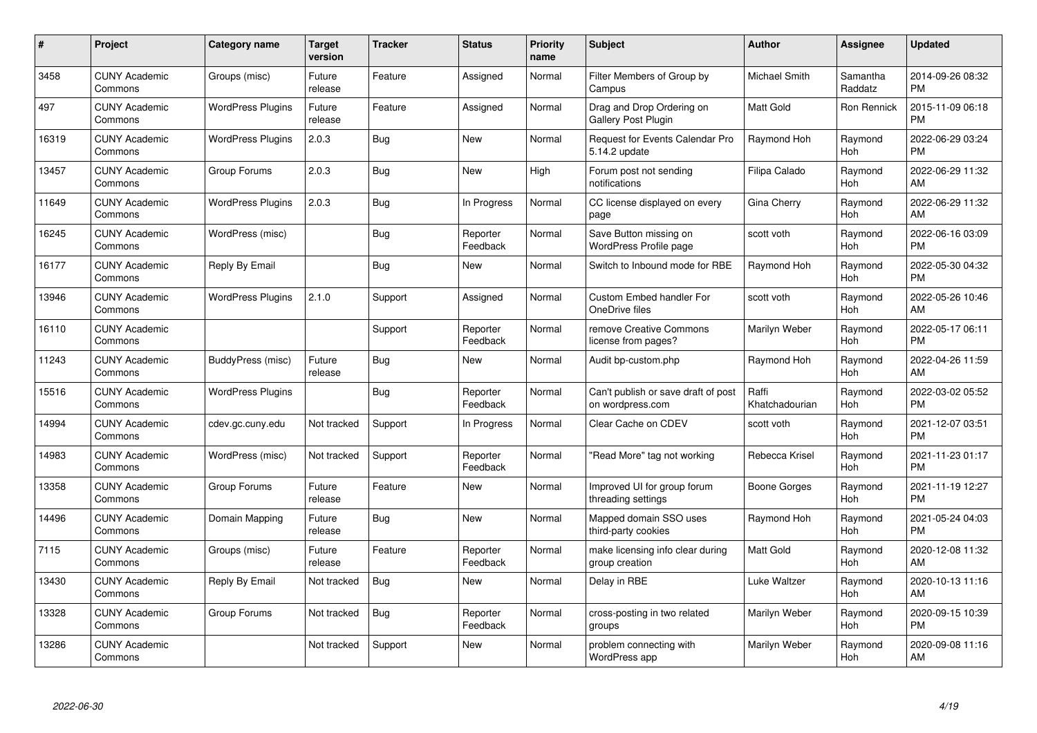| #     | Project                         | <b>Category name</b>     | <b>Target</b><br>version | <b>Tracker</b> | <b>Status</b>        | Priority<br>name | <b>Subject</b>                                          | <b>Author</b>           | <b>Assignee</b>     | <b>Updated</b>                |
|-------|---------------------------------|--------------------------|--------------------------|----------------|----------------------|------------------|---------------------------------------------------------|-------------------------|---------------------|-------------------------------|
| 3458  | <b>CUNY Academic</b><br>Commons | Groups (misc)            | Future<br>release        | Feature        | Assigned             | Normal           | Filter Members of Group by<br>Campus                    | Michael Smith           | Samantha<br>Raddatz | 2014-09-26 08:32<br><b>PM</b> |
| 497   | <b>CUNY Academic</b><br>Commons | <b>WordPress Plugins</b> | Future<br>release        | Feature        | Assigned             | Normal           | Drag and Drop Ordering on<br><b>Gallery Post Plugin</b> | <b>Matt Gold</b>        | Ron Rennick         | 2015-11-09 06:18<br><b>PM</b> |
| 16319 | <b>CUNY Academic</b><br>Commons | <b>WordPress Plugins</b> | 2.0.3                    | Bug            | <b>New</b>           | Normal           | <b>Request for Events Calendar Pro</b><br>5.14.2 update | Raymond Hoh             | Raymond<br>Hoh      | 2022-06-29 03:24<br><b>PM</b> |
| 13457 | <b>CUNY Academic</b><br>Commons | Group Forums             | 2.0.3                    | Bug            | <b>New</b>           | High             | Forum post not sending<br>notifications                 | Filipa Calado           | Raymond<br>Hoh      | 2022-06-29 11:32<br>AM        |
| 11649 | <b>CUNY Academic</b><br>Commons | <b>WordPress Plugins</b> | 2.0.3                    | <b>Bug</b>     | In Progress          | Normal           | CC license displayed on every<br>page                   | Gina Cherry             | Raymond<br>Hoh      | 2022-06-29 11:32<br>AM        |
| 16245 | <b>CUNY Academic</b><br>Commons | WordPress (misc)         |                          | Bug            | Reporter<br>Feedback | Normal           | Save Button missing on<br>WordPress Profile page        | scott voth              | Raymond<br>Hoh      | 2022-06-16 03:09<br><b>PM</b> |
| 16177 | <b>CUNY Academic</b><br>Commons | Reply By Email           |                          | <b>Bug</b>     | New                  | Normal           | Switch to Inbound mode for RBE                          | Raymond Hoh             | Raymond<br>Hoh      | 2022-05-30 04:32<br><b>PM</b> |
| 13946 | <b>CUNY Academic</b><br>Commons | <b>WordPress Plugins</b> | 2.1.0                    | Support        | Assigned             | Normal           | Custom Embed handler For<br>OneDrive files              | scott voth              | Raymond<br>Hoh      | 2022-05-26 10:46<br>AM        |
| 16110 | <b>CUNY Academic</b><br>Commons |                          |                          | Support        | Reporter<br>Feedback | Normal           | remove Creative Commons<br>license from pages?          | Marilyn Weber           | Raymond<br>Hoh      | 2022-05-17 06:11<br><b>PM</b> |
| 11243 | <b>CUNY Academic</b><br>Commons | BuddyPress (misc)        | Future<br>release        | Bug            | New                  | Normal           | Audit bp-custom.php                                     | Raymond Hoh             | Raymond<br>Hoh      | 2022-04-26 11:59<br>AM        |
| 15516 | <b>CUNY Academic</b><br>Commons | <b>WordPress Plugins</b> |                          | Bug            | Reporter<br>Feedback | Normal           | Can't publish or save draft of post<br>on wordpress.com | Raffi<br>Khatchadourian | Raymond<br>Hoh      | 2022-03-02 05:52<br><b>PM</b> |
| 14994 | <b>CUNY Academic</b><br>Commons | cdev.gc.cuny.edu         | Not tracked              | Support        | In Progress          | Normal           | Clear Cache on CDEV                                     | scott voth              | Raymond<br>Hoh      | 2021-12-07 03:51<br><b>PM</b> |
| 14983 | <b>CUNY Academic</b><br>Commons | WordPress (misc)         | Not tracked              | Support        | Reporter<br>Feedback | Normal           | "Read More" tag not working                             | Rebecca Krisel          | Raymond<br>Hoh      | 2021-11-23 01:17<br><b>PM</b> |
| 13358 | <b>CUNY Academic</b><br>Commons | Group Forums             | Future<br>release        | Feature        | New                  | Normal           | Improved UI for group forum<br>threading settings       | Boone Gorges            | Raymond<br>Hoh      | 2021-11-19 12:27<br><b>PM</b> |
| 14496 | <b>CUNY Academic</b><br>Commons | Domain Mapping           | Future<br>release        | Bug            | New                  | Normal           | Mapped domain SSO uses<br>third-party cookies           | Raymond Hoh             | Raymond<br>Hoh      | 2021-05-24 04:03<br><b>PM</b> |
| 7115  | <b>CUNY Academic</b><br>Commons | Groups (misc)            | Future<br>release        | Feature        | Reporter<br>Feedback | Normal           | make licensing info clear during<br>group creation      | Matt Gold               | Raymond<br>Hoh      | 2020-12-08 11:32<br>AM        |
| 13430 | <b>CUNY Academic</b><br>Commons | Reply By Email           | Not tracked              | Bug            | New                  | Normal           | Delay in RBE                                            | Luke Waltzer            | Raymond<br>Hoh      | 2020-10-13 11:16<br>AM        |
| 13328 | <b>CUNY Academic</b><br>Commons | Group Forums             | Not tracked              | Bug            | Reporter<br>Feedback | Normal           | cross-posting in two related<br>groups                  | Marilyn Weber           | Raymond<br>Hoh      | 2020-09-15 10:39<br><b>PM</b> |
| 13286 | <b>CUNY Academic</b><br>Commons |                          | Not tracked              | Support        | <b>New</b>           | Normal           | problem connecting with<br>WordPress app                | Marilyn Weber           | Raymond<br>Hoh      | 2020-09-08 11:16<br>AM        |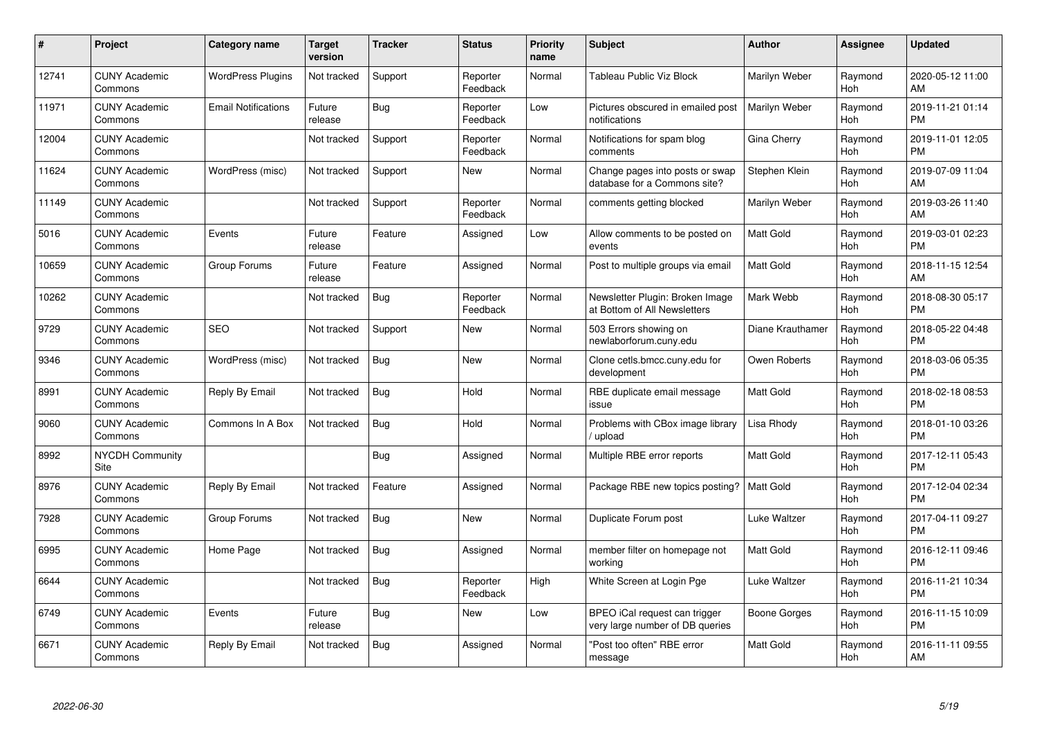| #     | <b>Project</b>                  | Category name              | <b>Target</b><br>version | <b>Tracker</b> | <b>Status</b>        | <b>Priority</b><br>name | <b>Subject</b>                                                   | <b>Author</b>    | Assignee       | <b>Updated</b>                |
|-------|---------------------------------|----------------------------|--------------------------|----------------|----------------------|-------------------------|------------------------------------------------------------------|------------------|----------------|-------------------------------|
| 12741 | <b>CUNY Academic</b><br>Commons | <b>WordPress Plugins</b>   | Not tracked              | Support        | Reporter<br>Feedback | Normal                  | Tableau Public Viz Block                                         | Marilyn Weber    | Raymond<br>Hoh | 2020-05-12 11:00<br>AM        |
| 11971 | <b>CUNY Academic</b><br>Commons | <b>Email Notifications</b> | Future<br>release        | Bug            | Reporter<br>Feedback | Low                     | Pictures obscured in emailed post<br>notifications               | Marilyn Weber    | Raymond<br>Hoh | 2019-11-21 01:14<br><b>PM</b> |
| 12004 | <b>CUNY Academic</b><br>Commons |                            | Not tracked              | Support        | Reporter<br>Feedback | Normal                  | Notifications for spam blog<br>comments                          | Gina Cherry      | Raymond<br>Hoh | 2019-11-01 12:05<br><b>PM</b> |
| 11624 | <b>CUNY Academic</b><br>Commons | WordPress (misc)           | Not tracked              | Support        | New                  | Normal                  | Change pages into posts or swap<br>database for a Commons site?  | Stephen Klein    | Raymond<br>Hoh | 2019-07-09 11:04<br>AM        |
| 11149 | <b>CUNY Academic</b><br>Commons |                            | Not tracked              | Support        | Reporter<br>Feedback | Normal                  | comments getting blocked                                         | Marilyn Weber    | Raymond<br>Hoh | 2019-03-26 11:40<br>AM        |
| 5016  | <b>CUNY Academic</b><br>Commons | Events                     | Future<br>release        | Feature        | Assigned             | Low                     | Allow comments to be posted on<br>events                         | <b>Matt Gold</b> | Raymond<br>Hoh | 2019-03-01 02:23<br><b>PM</b> |
| 10659 | <b>CUNY Academic</b><br>Commons | Group Forums               | Future<br>release        | Feature        | Assigned             | Normal                  | Post to multiple groups via email                                | <b>Matt Gold</b> | Raymond<br>Hoh | 2018-11-15 12:54<br>AM        |
| 10262 | <b>CUNY Academic</b><br>Commons |                            | Not tracked              | <b>Bug</b>     | Reporter<br>Feedback | Normal                  | Newsletter Plugin: Broken Image<br>at Bottom of All Newsletters  | Mark Webb        | Raymond<br>Hoh | 2018-08-30 05:17<br><b>PM</b> |
| 9729  | <b>CUNY Academic</b><br>Commons | <b>SEO</b>                 | Not tracked              | Support        | <b>New</b>           | Normal                  | 503 Errors showing on<br>newlaborforum.cuny.edu                  | Diane Krauthamer | Raymond<br>Hoh | 2018-05-22 04:48<br><b>PM</b> |
| 9346  | <b>CUNY Academic</b><br>Commons | WordPress (misc)           | Not tracked              | Bug            | <b>New</b>           | Normal                  | Clone cetls.bmcc.cuny.edu for<br>development                     | Owen Roberts     | Raymond<br>Hoh | 2018-03-06 05:35<br><b>PM</b> |
| 8991  | <b>CUNY Academic</b><br>Commons | Reply By Email             | Not tracked              | <b>Bug</b>     | Hold                 | Normal                  | RBE duplicate email message<br>issue                             | <b>Matt Gold</b> | Raymond<br>Hoh | 2018-02-18 08:53<br><b>PM</b> |
| 9060  | <b>CUNY Academic</b><br>Commons | Commons In A Box           | Not tracked              | <b>Bug</b>     | Hold                 | Normal                  | Problems with CBox image library<br>/ upload                     | Lisa Rhody       | Raymond<br>Hoh | 2018-01-10 03:26<br><b>PM</b> |
| 8992  | <b>NYCDH Community</b><br>Site  |                            |                          | Bug            | Assigned             | Normal                  | Multiple RBE error reports                                       | <b>Matt Gold</b> | Raymond<br>Hoh | 2017-12-11 05:43<br><b>PM</b> |
| 8976  | <b>CUNY Academic</b><br>Commons | Reply By Email             | Not tracked              | Feature        | Assigned             | Normal                  | Package RBE new topics posting?                                  | <b>Matt Gold</b> | Raymond<br>Hoh | 2017-12-04 02:34<br><b>PM</b> |
| 7928  | <b>CUNY Academic</b><br>Commons | Group Forums               | Not tracked              | <b>Bug</b>     | New                  | Normal                  | Duplicate Forum post                                             | Luke Waltzer     | Raymond<br>Hoh | 2017-04-11 09:27<br><b>PM</b> |
| 6995  | <b>CUNY Academic</b><br>Commons | Home Page                  | Not tracked              | <b>Bug</b>     | Assigned             | Normal                  | member filter on homepage not<br>working                         | <b>Matt Gold</b> | Raymond<br>Hoh | 2016-12-11 09:46<br><b>PM</b> |
| 6644  | <b>CUNY Academic</b><br>Commons |                            | Not tracked              | Bug            | Reporter<br>Feedback | High                    | White Screen at Login Pge                                        | Luke Waltzer     | Raymond<br>Hoh | 2016-11-21 10:34<br><b>PM</b> |
| 6749  | <b>CUNY Academic</b><br>Commons | Events                     | Future<br>release        | Bug            | New                  | Low                     | BPEO iCal request can trigger<br>very large number of DB queries | Boone Gorges     | Raymond<br>Hoh | 2016-11-15 10:09<br><b>PM</b> |
| 6671  | <b>CUNY Academic</b><br>Commons | Reply By Email             | Not tracked              | Bug            | Assigned             | Normal                  | "Post too often" RBE error<br>message                            | <b>Matt Gold</b> | Raymond<br>Hoh | 2016-11-11 09:55<br>AM        |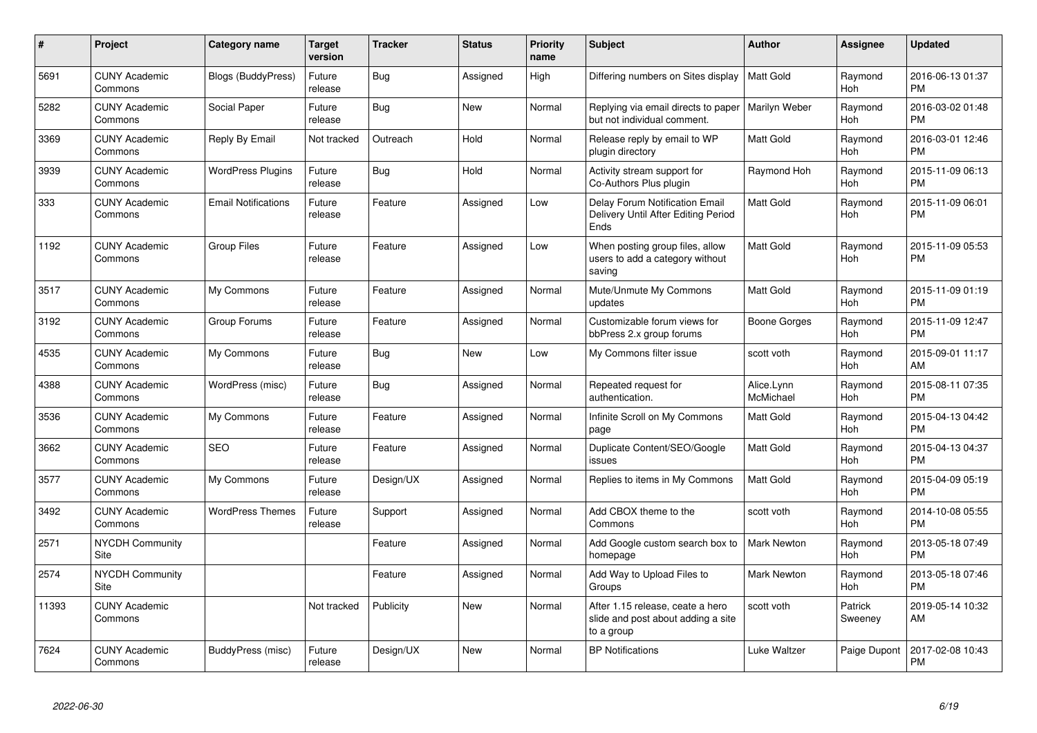| #     | Project                               | <b>Category name</b>       | <b>Target</b><br>version | <b>Tracker</b> | <b>Status</b> | <b>Priority</b><br>name | <b>Subject</b>                                                                       | <b>Author</b>           | Assignee              | <b>Updated</b>                |
|-------|---------------------------------------|----------------------------|--------------------------|----------------|---------------|-------------------------|--------------------------------------------------------------------------------------|-------------------------|-----------------------|-------------------------------|
| 5691  | <b>CUNY Academic</b><br>Commons       | <b>Blogs (BuddyPress)</b>  | Future<br>release        | Bug            | Assigned      | High                    | Differing numbers on Sites display                                                   | <b>Matt Gold</b>        | Raymond<br><b>Hoh</b> | 2016-06-13 01:37<br><b>PM</b> |
| 5282  | <b>CUNY Academic</b><br>Commons       | Social Paper               | Future<br>release        | <b>Bug</b>     | <b>New</b>    | Normal                  | Replying via email directs to paper<br>but not individual comment.                   | Marilyn Weber           | Raymond<br><b>Hoh</b> | 2016-03-02 01:48<br><b>PM</b> |
| 3369  | <b>CUNY Academic</b><br>Commons       | Reply By Email             | Not tracked              | Outreach       | Hold          | Normal                  | Release reply by email to WP<br>plugin directory                                     | Matt Gold               | Raymond<br>Hoh        | 2016-03-01 12:46<br><b>PM</b> |
| 3939  | <b>CUNY Academic</b><br>Commons       | <b>WordPress Plugins</b>   | Future<br>release        | <b>Bug</b>     | Hold          | Normal                  | Activity stream support for<br>Co-Authors Plus plugin                                | Raymond Hoh             | Raymond<br><b>Hoh</b> | 2015-11-09 06:13<br><b>PM</b> |
| 333   | <b>CUNY Academic</b><br>Commons       | <b>Email Notifications</b> | Future<br>release        | Feature        | Assigned      | Low                     | Delay Forum Notification Email<br>Delivery Until After Editing Period<br>Ends        | Matt Gold               | Raymond<br><b>Hoh</b> | 2015-11-09 06:01<br><b>PM</b> |
| 1192  | <b>CUNY Academic</b><br>Commons       | <b>Group Files</b>         | Future<br>release        | Feature        | Assigned      | Low                     | When posting group files, allow<br>users to add a category without<br>saving         | Matt Gold               | Raymond<br><b>Hoh</b> | 2015-11-09 05:53<br><b>PM</b> |
| 3517  | <b>CUNY Academic</b><br>Commons       | My Commons                 | Future<br>release        | Feature        | Assigned      | Normal                  | Mute/Unmute My Commons<br>updates                                                    | Matt Gold               | Raymond<br>Hoh        | 2015-11-09 01:19<br><b>PM</b> |
| 3192  | <b>CUNY Academic</b><br>Commons       | Group Forums               | Future<br>release        | Feature        | Assigned      | Normal                  | Customizable forum views for<br>bbPress 2.x group forums                             | Boone Gorges            | Raymond<br><b>Hoh</b> | 2015-11-09 12:47<br>PM        |
| 4535  | <b>CUNY Academic</b><br>Commons       | My Commons                 | Future<br>release        | Bug            | New           | Low                     | My Commons filter issue                                                              | scott voth              | Raymond<br><b>Hoh</b> | 2015-09-01 11:17<br>AM        |
| 4388  | <b>CUNY Academic</b><br>Commons       | WordPress (misc)           | Future<br>release        | Bug            | Assigned      | Normal                  | Repeated request for<br>authentication.                                              | Alice.Lynn<br>McMichael | Raymond<br><b>Hoh</b> | 2015-08-11 07:35<br><b>PM</b> |
| 3536  | <b>CUNY Academic</b><br>Commons       | My Commons                 | Future<br>release        | Feature        | Assigned      | Normal                  | Infinite Scroll on My Commons<br>page                                                | <b>Matt Gold</b>        | Raymond<br>Hoh        | 2015-04-13 04:42<br><b>PM</b> |
| 3662  | <b>CUNY Academic</b><br>Commons       | <b>SEO</b>                 | Future<br>release        | Feature        | Assigned      | Normal                  | Duplicate Content/SEO/Google<br>issues                                               | Matt Gold               | Raymond<br>Hoh        | 2015-04-13 04:37<br><b>PM</b> |
| 3577  | <b>CUNY Academic</b><br>Commons       | My Commons                 | Future<br>release        | Design/UX      | Assigned      | Normal                  | Replies to items in My Commons                                                       | Matt Gold               | Raymond<br>Hoh        | 2015-04-09 05:19<br><b>PM</b> |
| 3492  | <b>CUNY Academic</b><br>Commons       | <b>WordPress Themes</b>    | Future<br>release        | Support        | Assigned      | Normal                  | Add CBOX theme to the<br>Commons                                                     | scott voth              | Raymond<br><b>Hoh</b> | 2014-10-08 05:55<br><b>PM</b> |
| 2571  | <b>NYCDH Community</b><br><b>Site</b> |                            |                          | Feature        | Assigned      | Normal                  | Add Google custom search box to<br>homepage                                          | <b>Mark Newton</b>      | Raymond<br><b>Hoh</b> | 2013-05-18 07:49<br>PM        |
| 2574  | NYCDH Community<br>Site               |                            |                          | Feature        | Assigned      | Normal                  | Add Way to Upload Files to<br>Groups                                                 | <b>Mark Newton</b>      | Raymond<br>Hoh        | 2013-05-18 07:46<br><b>PM</b> |
| 11393 | <b>CUNY Academic</b><br>Commons       |                            | Not tracked              | Publicity      | <b>New</b>    | Normal                  | After 1.15 release, ceate a hero<br>slide and post about adding a site<br>to a group | scott voth              | Patrick<br>Sweeney    | 2019-05-14 10:32<br>AM        |
| 7624  | <b>CUNY Academic</b><br>Commons       | BuddyPress (misc)          | Future<br>release        | Design/UX      | <b>New</b>    | Normal                  | <b>BP</b> Notifications                                                              | Luke Waltzer            | Paige Dupont          | 2017-02-08 10:43<br>PM        |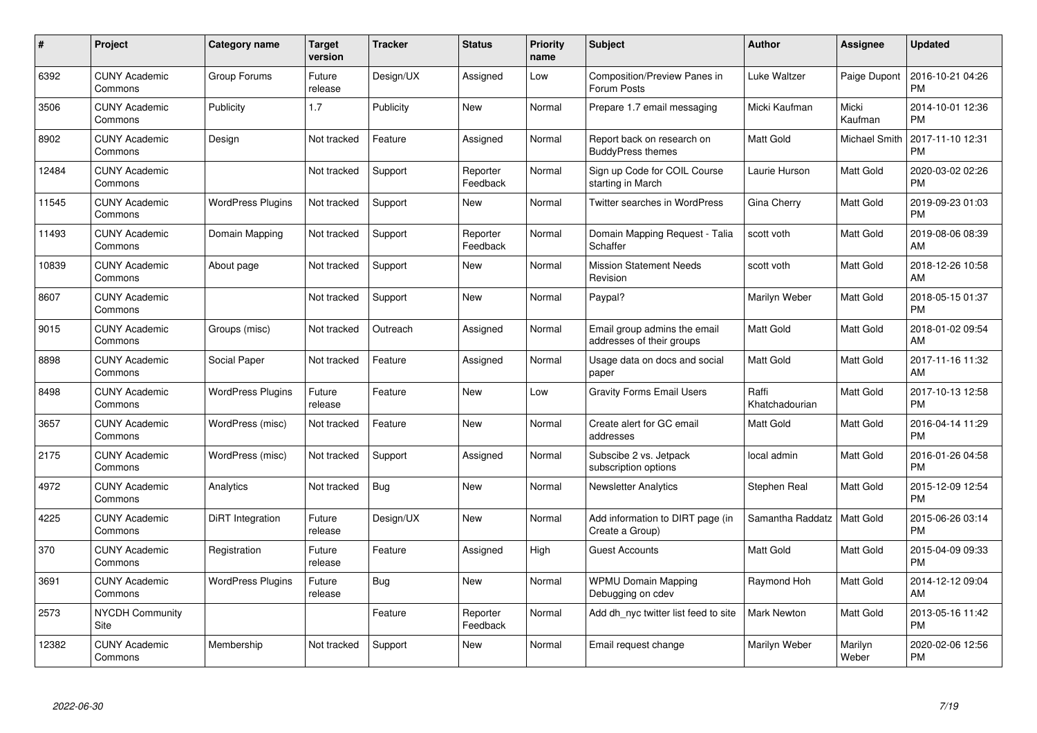| $\pmb{\#}$ | Project                         | <b>Category name</b>     | Target<br>version | <b>Tracker</b> | <b>Status</b>        | Priority<br>name | <b>Subject</b>                                            | <b>Author</b>           | <b>Assignee</b>      | <b>Updated</b>                |
|------------|---------------------------------|--------------------------|-------------------|----------------|----------------------|------------------|-----------------------------------------------------------|-------------------------|----------------------|-------------------------------|
| 6392       | <b>CUNY Academic</b><br>Commons | Group Forums             | Future<br>release | Design/UX      | Assigned             | Low              | <b>Composition/Preview Panes in</b><br>Forum Posts        | Luke Waltzer            | Paige Dupont         | 2016-10-21 04:26<br><b>PM</b> |
| 3506       | <b>CUNY Academic</b><br>Commons | Publicity                | 1.7               | Publicity      | <b>New</b>           | Normal           | Prepare 1.7 email messaging                               | Micki Kaufman           | Micki<br>Kaufman     | 2014-10-01 12:36<br><b>PM</b> |
| 8902       | <b>CUNY Academic</b><br>Commons | Design                   | Not tracked       | Feature        | Assigned             | Normal           | Report back on research on<br><b>BuddyPress themes</b>    | Matt Gold               | <b>Michael Smith</b> | 2017-11-10 12:31<br><b>PM</b> |
| 12484      | <b>CUNY Academic</b><br>Commons |                          | Not tracked       | Support        | Reporter<br>Feedback | Normal           | Sign up Code for COIL Course<br>starting in March         | Laurie Hurson           | Matt Gold            | 2020-03-02 02:26<br><b>PM</b> |
| 11545      | <b>CUNY Academic</b><br>Commons | <b>WordPress Plugins</b> | Not tracked       | Support        | <b>New</b>           | Normal           | Twitter searches in WordPress                             | Gina Cherry             | Matt Gold            | 2019-09-23 01:03<br><b>PM</b> |
| 11493      | <b>CUNY Academic</b><br>Commons | Domain Mapping           | Not tracked       | Support        | Reporter<br>Feedback | Normal           | Domain Mapping Request - Talia<br>Schaffer                | scott voth              | Matt Gold            | 2019-08-06 08:39<br>AM        |
| 10839      | <b>CUNY Academic</b><br>Commons | About page               | Not tracked       | Support        | <b>New</b>           | Normal           | <b>Mission Statement Needs</b><br>Revision                | scott voth              | Matt Gold            | 2018-12-26 10:58<br>AM        |
| 8607       | <b>CUNY Academic</b><br>Commons |                          | Not tracked       | Support        | <b>New</b>           | Normal           | Paypal?                                                   | Marilyn Weber           | Matt Gold            | 2018-05-15 01:37<br><b>PM</b> |
| 9015       | <b>CUNY Academic</b><br>Commons | Groups (misc)            | Not tracked       | Outreach       | Assigned             | Normal           | Email group admins the email<br>addresses of their groups | <b>Matt Gold</b>        | Matt Gold            | 2018-01-02 09:54<br>AM        |
| 8898       | <b>CUNY Academic</b><br>Commons | Social Paper             | Not tracked       | Feature        | Assigned             | Normal           | Usage data on docs and social<br>paper                    | <b>Matt Gold</b>        | Matt Gold            | 2017-11-16 11:32<br>AM        |
| 8498       | <b>CUNY Academic</b><br>Commons | <b>WordPress Plugins</b> | Future<br>release | Feature        | New                  | Low              | <b>Gravity Forms Email Users</b>                          | Raffi<br>Khatchadourian | Matt Gold            | 2017-10-13 12:58<br><b>PM</b> |
| 3657       | <b>CUNY Academic</b><br>Commons | WordPress (misc)         | Not tracked       | Feature        | New                  | Normal           | Create alert for GC email<br>addresses                    | Matt Gold               | Matt Gold            | 2016-04-14 11:29<br><b>PM</b> |
| 2175       | <b>CUNY Academic</b><br>Commons | WordPress (misc)         | Not tracked       | Support        | Assigned             | Normal           | Subscibe 2 vs. Jetpack<br>subscription options            | local admin             | Matt Gold            | 2016-01-26 04:58<br><b>PM</b> |
| 4972       | <b>CUNY Academic</b><br>Commons | Analytics                | Not tracked       | Bug            | New                  | Normal           | <b>Newsletter Analytics</b>                               | Stephen Real            | Matt Gold            | 2015-12-09 12:54<br><b>PM</b> |
| 4225       | <b>CUNY Academic</b><br>Commons | DiRT Integration         | Future<br>release | Design/UX      | New                  | Normal           | Add information to DIRT page (in<br>Create a Group)       | Samantha Raddatz        | Matt Gold            | 2015-06-26 03:14<br><b>PM</b> |
| 370        | <b>CUNY Academic</b><br>Commons | Registration             | Future<br>release | Feature        | Assigned             | High             | <b>Guest Accounts</b>                                     | Matt Gold               | Matt Gold            | 2015-04-09 09:33<br><b>PM</b> |
| 3691       | <b>CUNY Academic</b><br>Commons | <b>WordPress Plugins</b> | Future<br>release | Bug            | New                  | Normal           | <b>WPMU Domain Mapping</b><br>Debugging on cdev           | Raymond Hoh             | Matt Gold            | 2014-12-12 09:04<br>AM        |
| 2573       | <b>NYCDH Community</b><br>Site  |                          |                   | Feature        | Reporter<br>Feedback | Normal           | Add dh nyc twitter list feed to site                      | <b>Mark Newton</b>      | Matt Gold            | 2013-05-16 11:42<br><b>PM</b> |
| 12382      | <b>CUNY Academic</b><br>Commons | Membership               | Not tracked       | Support        | <b>New</b>           | Normal           | Email request change                                      | Marilyn Weber           | Marilyn<br>Weber     | 2020-02-06 12:56<br><b>PM</b> |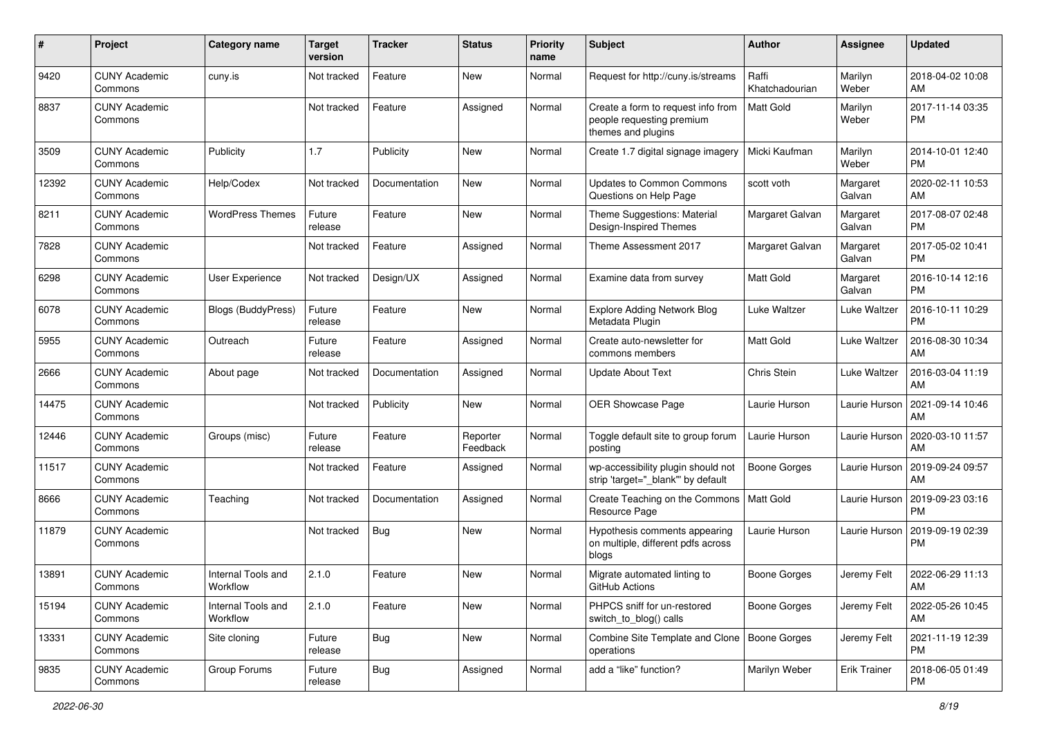| #     | Project                         | <b>Category name</b>           | <b>Target</b><br>version | <b>Tracker</b> | <b>Status</b>        | Priority<br>name | <b>Subject</b>                                                                        | Author                  | <b>Assignee</b>     | <b>Updated</b>                |
|-------|---------------------------------|--------------------------------|--------------------------|----------------|----------------------|------------------|---------------------------------------------------------------------------------------|-------------------------|---------------------|-------------------------------|
| 9420  | <b>CUNY Academic</b><br>Commons | cuny.is                        | Not tracked              | Feature        | New                  | Normal           | Request for http://cuny.is/streams                                                    | Raffi<br>Khatchadourian | Marilyn<br>Weber    | 2018-04-02 10:08<br>AM        |
| 8837  | <b>CUNY Academic</b><br>Commons |                                | Not tracked              | Feature        | Assigned             | Normal           | Create a form to request info from<br>people requesting premium<br>themes and plugins | <b>Matt Gold</b>        | Marilyn<br>Weber    | 2017-11-14 03:35<br><b>PM</b> |
| 3509  | <b>CUNY Academic</b><br>Commons | Publicity                      | 1.7                      | Publicity      | New                  | Normal           | Create 1.7 digital signage imagery                                                    | Micki Kaufman           | Marilyn<br>Weber    | 2014-10-01 12:40<br><b>PM</b> |
| 12392 | <b>CUNY Academic</b><br>Commons | Help/Codex                     | Not tracked              | Documentation  | New                  | Normal           | Updates to Common Commons<br>Questions on Help Page                                   | scott voth              | Margaret<br>Galvan  | 2020-02-11 10:53<br>AM        |
| 8211  | <b>CUNY Academic</b><br>Commons | <b>WordPress Themes</b>        | Future<br>release        | Feature        | <b>New</b>           | Normal           | Theme Suggestions: Material<br>Design-Inspired Themes                                 | Margaret Galvan         | Margaret<br>Galvan  | 2017-08-07 02:48<br><b>PM</b> |
| 7828  | <b>CUNY Academic</b><br>Commons |                                | Not tracked              | Feature        | Assigned             | Normal           | Theme Assessment 2017                                                                 | Margaret Galvan         | Margaret<br>Galvan  | 2017-05-02 10:41<br><b>PM</b> |
| 6298  | <b>CUNY Academic</b><br>Commons | User Experience                | Not tracked              | Design/UX      | Assigned             | Normal           | Examine data from survey                                                              | Matt Gold               | Margaret<br>Galvan  | 2016-10-14 12:16<br><b>PM</b> |
| 6078  | <b>CUNY Academic</b><br>Commons | Blogs (BuddyPress)             | Future<br>release        | Feature        | New                  | Normal           | <b>Explore Adding Network Blog</b><br>Metadata Plugin                                 | Luke Waltzer            | Luke Waltzer        | 2016-10-11 10:29<br><b>PM</b> |
| 5955  | <b>CUNY Academic</b><br>Commons | Outreach                       | Future<br>release        | Feature        | Assigned             | Normal           | Create auto-newsletter for<br>commons members                                         | Matt Gold               | Luke Waltzer        | 2016-08-30 10:34<br>AM        |
| 2666  | <b>CUNY Academic</b><br>Commons | About page                     | Not tracked              | Documentation  | Assigned             | Normal           | <b>Update About Text</b>                                                              | Chris Stein             | Luke Waltzer        | 2016-03-04 11:19<br>AM        |
| 14475 | <b>CUNY Academic</b><br>Commons |                                | Not tracked              | Publicity      | New                  | Normal           | OER Showcase Page                                                                     | Laurie Hurson           | Laurie Hurson       | 2021-09-14 10:46<br>AM        |
| 12446 | <b>CUNY Academic</b><br>Commons | Groups (misc)                  | Future<br>release        | Feature        | Reporter<br>Feedback | Normal           | Toggle default site to group forum<br>posting                                         | Laurie Hurson           | Laurie Hurson       | 2020-03-10 11:57<br>AM        |
| 11517 | <b>CUNY Academic</b><br>Commons |                                | Not tracked              | Feature        | Assigned             | Normal           | wp-accessibility plugin should not<br>strip 'target="_blank"' by default              | <b>Boone Gorges</b>     | Laurie Hurson       | 2019-09-24 09:57<br>AM        |
| 8666  | <b>CUNY Academic</b><br>Commons | Teaching                       | Not tracked              | Documentation  | Assigned             | Normal           | Create Teaching on the Commons<br>Resource Page                                       | Matt Gold               | Laurie Hurson       | 2019-09-23 03:16<br><b>PM</b> |
| 11879 | <b>CUNY Academic</b><br>Commons |                                | Not tracked              | Bug            | New                  | Normal           | Hypothesis comments appearing<br>on multiple, different pdfs across<br>blogs          | Laurie Hurson           | Laurie Hurson       | 2019-09-19 02:39<br><b>PM</b> |
| 13891 | <b>CUNY Academic</b><br>Commons | Internal Tools and<br>Workflow | 2.1.0                    | Feature        | <b>New</b>           | Normal           | Migrate automated linting to<br>GitHub Actions                                        | <b>Boone Gorges</b>     | Jeremy Felt         | 2022-06-29 11:13<br>AM        |
| 15194 | <b>CUNY Academic</b><br>Commons | Internal Tools and<br>Workflow | 2.1.0                    | Feature        | New                  | Normal           | PHPCS sniff for un-restored<br>switch_to_blog() calls                                 | Boone Gorges            | Jeremy Felt         | 2022-05-26 10:45<br>AM        |
| 13331 | <b>CUNY Academic</b><br>Commons | Site cloning                   | Future<br>release        | <b>Bug</b>     | New                  | Normal           | Combine Site Template and Clone   Boone Gorges<br>operations                          |                         | Jeremy Felt         | 2021-11-19 12:39<br><b>PM</b> |
| 9835  | <b>CUNY Academic</b><br>Commons | Group Forums                   | Future<br>release        | <b>Bug</b>     | Assigned             | Normal           | add a "like" function?                                                                | Marilyn Weber           | <b>Erik Trainer</b> | 2018-06-05 01:49<br><b>PM</b> |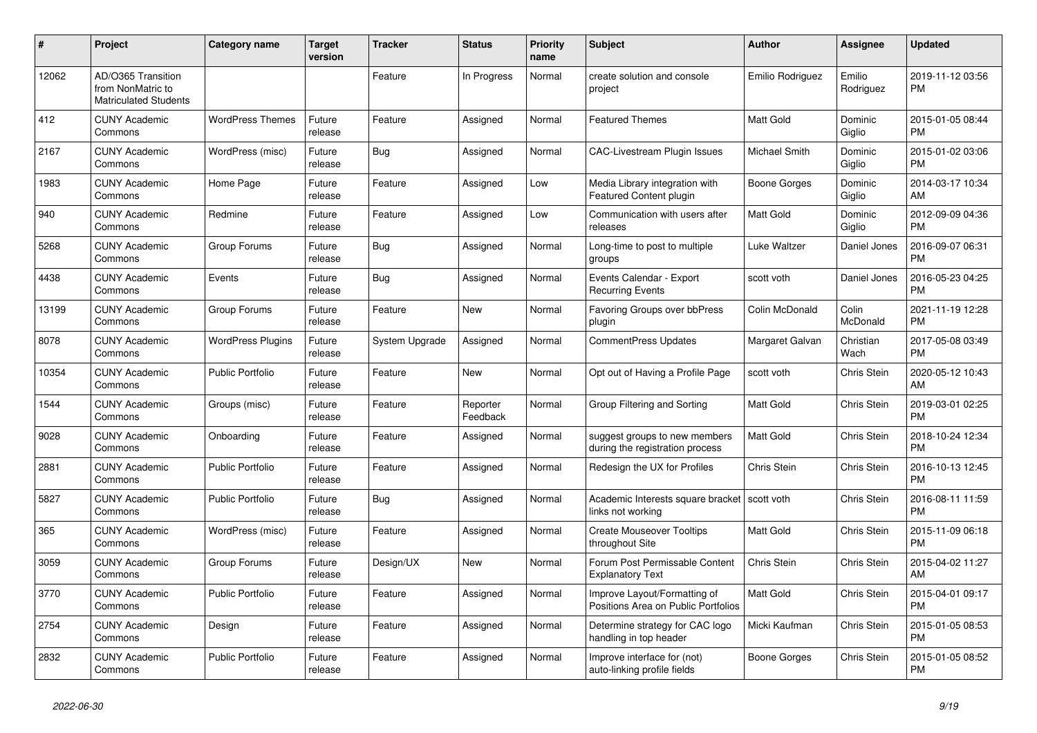| #     | Project                                                                 | Category name            | <b>Target</b><br>version | <b>Tracker</b> | <b>Status</b>        | <b>Priority</b><br>name | <b>Subject</b>                                                      | <b>Author</b>        | <b>Assignee</b>     | <b>Updated</b>                |
|-------|-------------------------------------------------------------------------|--------------------------|--------------------------|----------------|----------------------|-------------------------|---------------------------------------------------------------------|----------------------|---------------------|-------------------------------|
| 12062 | AD/O365 Transition<br>from NonMatric to<br><b>Matriculated Students</b> |                          |                          | Feature        | In Progress          | Normal                  | create solution and console<br>project                              | Emilio Rodriguez     | Emilio<br>Rodriguez | 2019-11-12 03:56<br><b>PM</b> |
| 412   | <b>CUNY Academic</b><br>Commons                                         | <b>WordPress Themes</b>  | Future<br>release        | Feature        | Assigned             | Normal                  | <b>Featured Themes</b>                                              | <b>Matt Gold</b>     | Dominic<br>Giglio   | 2015-01-05 08:44<br><b>PM</b> |
| 2167  | <b>CUNY Academic</b><br>Commons                                         | WordPress (misc)         | Future<br>release        | <b>Bug</b>     | Assigned             | Normal                  | <b>CAC-Livestream Plugin Issues</b>                                 | <b>Michael Smith</b> | Dominic<br>Giglio   | 2015-01-02 03:06<br><b>PM</b> |
| 1983  | <b>CUNY Academic</b><br>Commons                                         | Home Page                | Future<br>release        | Feature        | Assigned             | Low                     | Media Library integration with<br><b>Featured Content plugin</b>    | Boone Gorges         | Dominic<br>Giglio   | 2014-03-17 10:34<br>AM        |
| 940   | <b>CUNY Academic</b><br>Commons                                         | Redmine                  | Future<br>release        | Feature        | Assigned             | Low                     | Communication with users after<br>releases                          | <b>Matt Gold</b>     | Dominic<br>Giglio   | 2012-09-09 04:36<br><b>PM</b> |
| 5268  | <b>CUNY Academic</b><br>Commons                                         | Group Forums             | Future<br>release        | Bug            | Assigned             | Normal                  | Long-time to post to multiple<br>groups                             | Luke Waltzer         | Daniel Jones        | 2016-09-07 06:31<br><b>PM</b> |
| 4438  | <b>CUNY Academic</b><br>Commons                                         | Events                   | Future<br>release        | Bug            | Assigned             | Normal                  | Events Calendar - Export<br><b>Recurring Events</b>                 | scott voth           | Daniel Jones        | 2016-05-23 04:25<br><b>PM</b> |
| 13199 | <b>CUNY Academic</b><br>Commons                                         | Group Forums             | Future<br>release        | Feature        | New                  | Normal                  | Favoring Groups over bbPress<br>plugin                              | Colin McDonald       | Colin<br>McDonald   | 2021-11-19 12:28<br><b>PM</b> |
| 8078  | <b>CUNY Academic</b><br>Commons                                         | <b>WordPress Plugins</b> | Future<br>release        | System Upgrade | Assigned             | Normal                  | <b>CommentPress Updates</b>                                         | Margaret Galvan      | Christian<br>Wach   | 2017-05-08 03:49<br><b>PM</b> |
| 10354 | <b>CUNY Academic</b><br>Commons                                         | <b>Public Portfolio</b>  | Future<br>release        | Feature        | <b>New</b>           | Normal                  | Opt out of Having a Profile Page                                    | scott voth           | <b>Chris Stein</b>  | 2020-05-12 10:43<br>AM        |
| 1544  | <b>CUNY Academic</b><br>Commons                                         | Groups (misc)            | Future<br>release        | Feature        | Reporter<br>Feedback | Normal                  | Group Filtering and Sorting                                         | <b>Matt Gold</b>     | Chris Stein         | 2019-03-01 02:25<br><b>PM</b> |
| 9028  | <b>CUNY Academic</b><br>Commons                                         | Onboarding               | Future<br>release        | Feature        | Assigned             | Normal                  | suggest groups to new members<br>during the registration process    | <b>Matt Gold</b>     | Chris Stein         | 2018-10-24 12:34<br><b>PM</b> |
| 2881  | <b>CUNY Academic</b><br>Commons                                         | <b>Public Portfolio</b>  | Future<br>release        | Feature        | Assigned             | Normal                  | Redesign the UX for Profiles                                        | Chris Stein          | <b>Chris Stein</b>  | 2016-10-13 12:45<br><b>PM</b> |
| 5827  | <b>CUNY Academic</b><br>Commons                                         | <b>Public Portfolio</b>  | Future<br>release        | Bug            | Assigned             | Normal                  | Academic Interests square bracket<br>links not working              | scott voth           | Chris Stein         | 2016-08-11 11:59<br><b>PM</b> |
| 365   | <b>CUNY Academic</b><br>Commons                                         | WordPress (misc)         | Future<br>release        | Feature        | Assigned             | Normal                  | <b>Create Mouseover Tooltips</b><br>throughout Site                 | <b>Matt Gold</b>     | <b>Chris Stein</b>  | 2015-11-09 06:18<br><b>PM</b> |
| 3059  | <b>CUNY Academic</b><br>Commons                                         | Group Forums             | Future<br>release        | Design/UX      | New                  | Normal                  | Forum Post Permissable Content<br><b>Explanatory Text</b>           | Chris Stein          | Chris Stein         | 2015-04-02 11:27<br>AM        |
| 3770  | <b>CUNY Academic</b><br>Commons                                         | <b>Public Portfolio</b>  | Future<br>release        | Feature        | Assigned             | Normal                  | Improve Layout/Formatting of<br>Positions Area on Public Portfolios | <b>Matt Gold</b>     | Chris Stein         | 2015-04-01 09:17<br><b>PM</b> |
| 2754  | <b>CUNY Academic</b><br>Commons                                         | Design                   | Future<br>release        | Feature        | Assigned             | Normal                  | Determine strategy for CAC logo<br>handling in top header           | Micki Kaufman        | Chris Stein         | 2015-01-05 08:53<br><b>PM</b> |
| 2832  | <b>CUNY Academic</b><br>Commons                                         | Public Portfolio         | Future<br>release        | Feature        | Assigned             | Normal                  | Improve interface for (not)<br>auto-linking profile fields          | Boone Gorges         | Chris Stein         | 2015-01-05 08:52<br><b>PM</b> |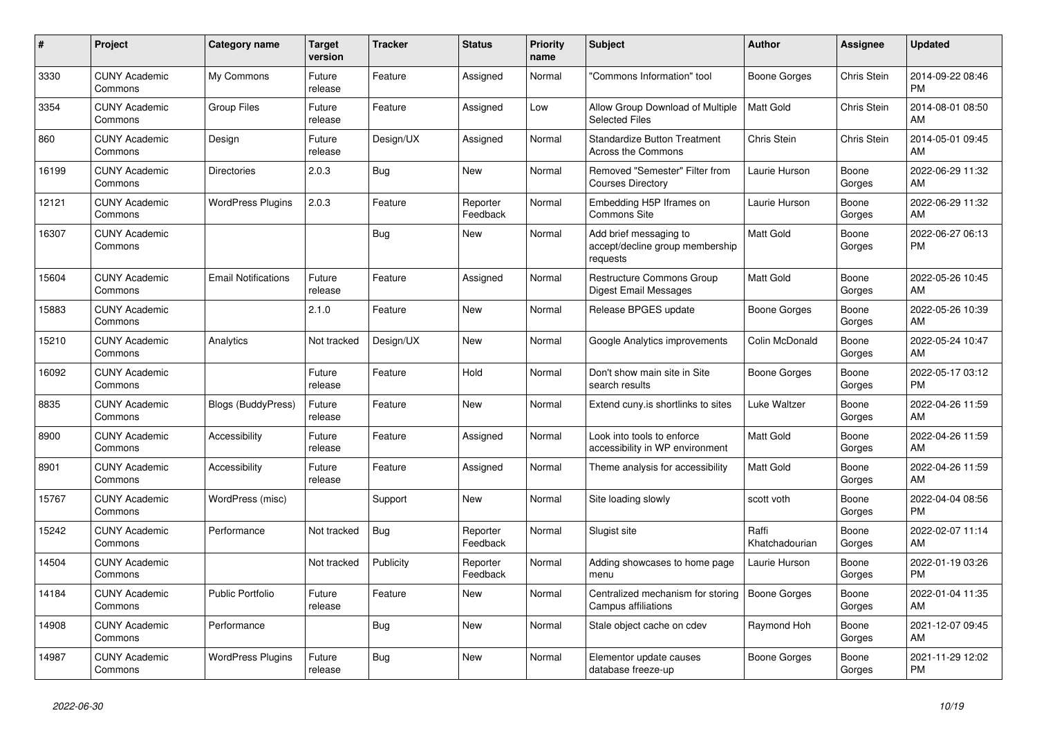| #     | <b>Project</b>                  | <b>Category name</b>       | <b>Target</b><br>version | <b>Tracker</b> | <b>Status</b>        | <b>Priority</b><br>name | <b>Subject</b>                                                        | <b>Author</b>           | <b>Assignee</b>    | <b>Updated</b>                |
|-------|---------------------------------|----------------------------|--------------------------|----------------|----------------------|-------------------------|-----------------------------------------------------------------------|-------------------------|--------------------|-------------------------------|
| 3330  | <b>CUNY Academic</b><br>Commons | My Commons                 | Future<br>release        | Feature        | Assigned             | Normal                  | "Commons Information" tool                                            | Boone Gorges            | Chris Stein        | 2014-09-22 08:46<br><b>PM</b> |
| 3354  | <b>CUNY Academic</b><br>Commons | <b>Group Files</b>         | Future<br>release        | Feature        | Assigned             | Low                     | Allow Group Download of Multiple<br><b>Selected Files</b>             | <b>Matt Gold</b>        | Chris Stein        | 2014-08-01 08:50<br>AM        |
| 860   | <b>CUNY Academic</b><br>Commons | Design                     | Future<br>release        | Design/UX      | Assigned             | Normal                  | <b>Standardize Button Treatment</b><br>Across the Commons             | Chris Stein             | <b>Chris Stein</b> | 2014-05-01 09:45<br>AM        |
| 16199 | <b>CUNY Academic</b><br>Commons | <b>Directories</b>         | 2.0.3                    | Bug            | <b>New</b>           | Normal                  | Removed "Semester" Filter from<br><b>Courses Directory</b>            | Laurie Hurson           | Boone<br>Gorges    | 2022-06-29 11:32<br>AM        |
| 12121 | <b>CUNY Academic</b><br>Commons | <b>WordPress Plugins</b>   | 2.0.3                    | Feature        | Reporter<br>Feedback | Normal                  | Embedding H5P Iframes on<br>Commons Site                              | Laurie Hurson           | Boone<br>Gorges    | 2022-06-29 11:32<br>AM        |
| 16307 | <b>CUNY Academic</b><br>Commons |                            |                          | <b>Bug</b>     | New                  | Normal                  | Add brief messaging to<br>accept/decline group membership<br>requests | <b>Matt Gold</b>        | Boone<br>Gorges    | 2022-06-27 06:13<br><b>PM</b> |
| 15604 | <b>CUNY Academic</b><br>Commons | <b>Email Notifications</b> | Future<br>release        | Feature        | Assigned             | Normal                  | Restructure Commons Group<br><b>Digest Email Messages</b>             | <b>Matt Gold</b>        | Boone<br>Gorges    | 2022-05-26 10:45<br>AM        |
| 15883 | <b>CUNY Academic</b><br>Commons |                            | 2.1.0                    | Feature        | <b>New</b>           | Normal                  | Release BPGES update                                                  | Boone Gorges            | Boone<br>Gorges    | 2022-05-26 10:39<br>AM        |
| 15210 | <b>CUNY Academic</b><br>Commons | Analytics                  | Not tracked              | Design/UX      | New                  | Normal                  | Google Analytics improvements                                         | Colin McDonald          | Boone<br>Gorges    | 2022-05-24 10:47<br>AM        |
| 16092 | <b>CUNY Academic</b><br>Commons |                            | Future<br>release        | Feature        | Hold                 | Normal                  | Don't show main site in Site<br>search results                        | Boone Gorges            | Boone<br>Gorges    | 2022-05-17 03:12<br><b>PM</b> |
| 8835  | <b>CUNY Academic</b><br>Commons | Blogs (BuddyPress)         | Future<br>release        | Feature        | New                  | Normal                  | Extend cuny is shortlinks to sites                                    | Luke Waltzer            | Boone<br>Gorges    | 2022-04-26 11:59<br>AM        |
| 8900  | <b>CUNY Academic</b><br>Commons | Accessibility              | Future<br>release        | Feature        | Assigned             | Normal                  | Look into tools to enforce<br>accessibility in WP environment         | Matt Gold               | Boone<br>Gorges    | 2022-04-26 11:59<br>AM        |
| 8901  | <b>CUNY Academic</b><br>Commons | Accessibility              | Future<br>release        | Feature        | Assigned             | Normal                  | Theme analysis for accessibility                                      | <b>Matt Gold</b>        | Boone<br>Gorges    | 2022-04-26 11:59<br>AM        |
| 15767 | <b>CUNY Academic</b><br>Commons | WordPress (misc)           |                          | Support        | New                  | Normal                  | Site loading slowly                                                   | scott voth              | Boone<br>Gorges    | 2022-04-04 08:56<br><b>PM</b> |
| 15242 | <b>CUNY Academic</b><br>Commons | Performance                | Not tracked              | Bug            | Reporter<br>Feedback | Normal                  | Slugist site                                                          | Raffi<br>Khatchadourian | Boone<br>Gorges    | 2022-02-07 11:14<br>AM        |
| 14504 | <b>CUNY Academic</b><br>Commons |                            | Not tracked              | Publicity      | Reporter<br>Feedback | Normal                  | Adding showcases to home page<br>menu                                 | Laurie Hurson           | Boone<br>Gorges    | 2022-01-19 03:26<br><b>PM</b> |
| 14184 | <b>CUNY Academic</b><br>Commons | <b>Public Portfolio</b>    | Future<br>release        | Feature        | <b>New</b>           | Normal                  | Centralized mechanism for storing<br><b>Campus affiliations</b>       | <b>Boone Gorges</b>     | Boone<br>Gorges    | 2022-01-04 11:35<br>AM        |
| 14908 | <b>CUNY Academic</b><br>Commons | Performance                |                          | Bug            | <b>New</b>           | Normal                  | Stale object cache on cdev                                            | Raymond Hoh             | Boone<br>Gorges    | 2021-12-07 09:45<br>AM        |
| 14987 | <b>CUNY Academic</b><br>Commons | <b>WordPress Plugins</b>   | Future<br>release        | <b>Bug</b>     | <b>New</b>           | Normal                  | Elementor update causes<br>database freeze-up                         | Boone Gorges            | Boone<br>Gorges    | 2021-11-29 12:02<br><b>PM</b> |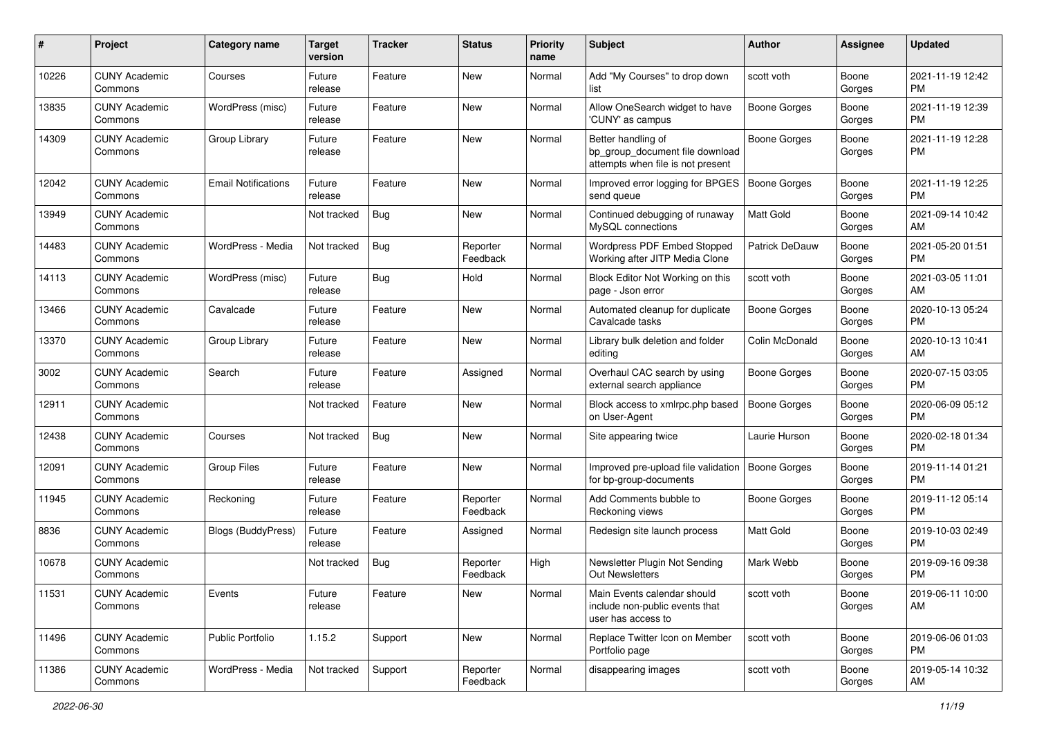| #     | Project                         | <b>Category name</b>       | <b>Target</b><br>version | <b>Tracker</b> | <b>Status</b>        | <b>Priority</b><br>name | <b>Subject</b>                                                                             | Author              | <b>Assignee</b> | <b>Updated</b>                |
|-------|---------------------------------|----------------------------|--------------------------|----------------|----------------------|-------------------------|--------------------------------------------------------------------------------------------|---------------------|-----------------|-------------------------------|
| 10226 | <b>CUNY Academic</b><br>Commons | Courses                    | Future<br>release        | Feature        | New                  | Normal                  | Add "My Courses" to drop down<br>list                                                      | scott voth          | Boone<br>Gorges | 2021-11-19 12:42<br>PM.       |
| 13835 | <b>CUNY Academic</b><br>Commons | WordPress (misc)           | Future<br>release        | Feature        | New                  | Normal                  | Allow OneSearch widget to have<br>'CUNY' as campus                                         | <b>Boone Gorges</b> | Boone<br>Gorges | 2021-11-19 12:39<br><b>PM</b> |
| 14309 | <b>CUNY Academic</b><br>Commons | Group Library              | Future<br>release        | Feature        | <b>New</b>           | Normal                  | Better handling of<br>bp_group_document file download<br>attempts when file is not present | <b>Boone Gorges</b> | Boone<br>Gorges | 2021-11-19 12:28<br><b>PM</b> |
| 12042 | <b>CUNY Academic</b><br>Commons | <b>Email Notifications</b> | Future<br>release        | Feature        | <b>New</b>           | Normal                  | Improved error logging for BPGES<br>send queue                                             | <b>Boone Gorges</b> | Boone<br>Gorges | 2021-11-19 12:25<br><b>PM</b> |
| 13949 | <b>CUNY Academic</b><br>Commons |                            | Not tracked              | Bug            | New                  | Normal                  | Continued debugging of runaway<br>MySQL connections                                        | <b>Matt Gold</b>    | Boone<br>Gorges | 2021-09-14 10:42<br>AM        |
| 14483 | <b>CUNY Academic</b><br>Commons | WordPress - Media          | Not tracked              | Bug            | Reporter<br>Feedback | Normal                  | Wordpress PDF Embed Stopped<br>Working after JITP Media Clone                              | Patrick DeDauw      | Boone<br>Gorges | 2021-05-20 01:51<br><b>PM</b> |
| 14113 | <b>CUNY Academic</b><br>Commons | WordPress (misc)           | Future<br>release        | Bug            | Hold                 | Normal                  | Block Editor Not Working on this<br>page - Json error                                      | scott voth          | Boone<br>Gorges | 2021-03-05 11:01<br>AM        |
| 13466 | <b>CUNY Academic</b><br>Commons | Cavalcade                  | Future<br>release        | Feature        | New                  | Normal                  | Automated cleanup for duplicate<br>Cavalcade tasks                                         | <b>Boone Gorges</b> | Boone<br>Gorges | 2020-10-13 05:24<br><b>PM</b> |
| 13370 | <b>CUNY Academic</b><br>Commons | Group Library              | Future<br>release        | Feature        | <b>New</b>           | Normal                  | Library bulk deletion and folder<br>editing                                                | Colin McDonald      | Boone<br>Gorges | 2020-10-13 10:41<br>AM        |
| 3002  | <b>CUNY Academic</b><br>Commons | Search                     | Future<br>release        | Feature        | Assigned             | Normal                  | Overhaul CAC search by using<br>external search appliance                                  | Boone Gorges        | Boone<br>Gorges | 2020-07-15 03:05<br><b>PM</b> |
| 12911 | <b>CUNY Academic</b><br>Commons |                            | Not tracked              | Feature        | New                  | Normal                  | Block access to xmlrpc.php based<br>on User-Agent                                          | <b>Boone Gorges</b> | Boone<br>Gorges | 2020-06-09 05:12<br><b>PM</b> |
| 12438 | <b>CUNY Academic</b><br>Commons | Courses                    | Not tracked              | Bug            | New                  | Normal                  | Site appearing twice                                                                       | Laurie Hurson       | Boone<br>Gorges | 2020-02-18 01:34<br><b>PM</b> |
| 12091 | <b>CUNY Academic</b><br>Commons | <b>Group Files</b>         | Future<br>release        | Feature        | <b>New</b>           | Normal                  | Improved pre-upload file validation<br>for bp-group-documents                              | Boone Gorges        | Boone<br>Gorges | 2019-11-14 01:21<br><b>PM</b> |
| 11945 | <b>CUNY Academic</b><br>Commons | Reckoning                  | Future<br>release        | Feature        | Reporter<br>Feedback | Normal                  | Add Comments bubble to<br>Reckoning views                                                  | <b>Boone Gorges</b> | Boone<br>Gorges | 2019-11-12 05:14<br><b>PM</b> |
| 8836  | <b>CUNY Academic</b><br>Commons | <b>Blogs (BuddyPress)</b>  | Future<br>release        | Feature        | Assigned             | Normal                  | Redesign site launch process                                                               | <b>Matt Gold</b>    | Boone<br>Gorges | 2019-10-03 02:49<br><b>PM</b> |
| 10678 | <b>CUNY Academic</b><br>Commons |                            | Not tracked              | <b>Bug</b>     | Reporter<br>Feedback | High                    | Newsletter Plugin Not Sending<br>Out Newsletters                                           | Mark Webb           | Boone<br>Gorges | 2019-09-16 09:38<br><b>PM</b> |
| 11531 | <b>CUNY Academic</b><br>Commons | Events                     | Future<br>release        | Feature        | New                  | Normal                  | Main Events calendar should<br>include non-public events that<br>user has access to        | scott voth          | Boone<br>Gorges | 2019-06-11 10:00<br>AM        |
| 11496 | <b>CUNY Academic</b><br>Commons | Public Portfolio           | 1.15.2                   | Support        | New                  | Normal                  | Replace Twitter Icon on Member<br>Portfolio page                                           | scott voth          | Boone<br>Gorges | 2019-06-06 01:03<br><b>PM</b> |
| 11386 | <b>CUNY Academic</b><br>Commons | WordPress - Media          | Not tracked              | Support        | Reporter<br>Feedback | Normal                  | disappearing images                                                                        | scott voth          | Boone<br>Gorges | 2019-05-14 10:32<br>AM        |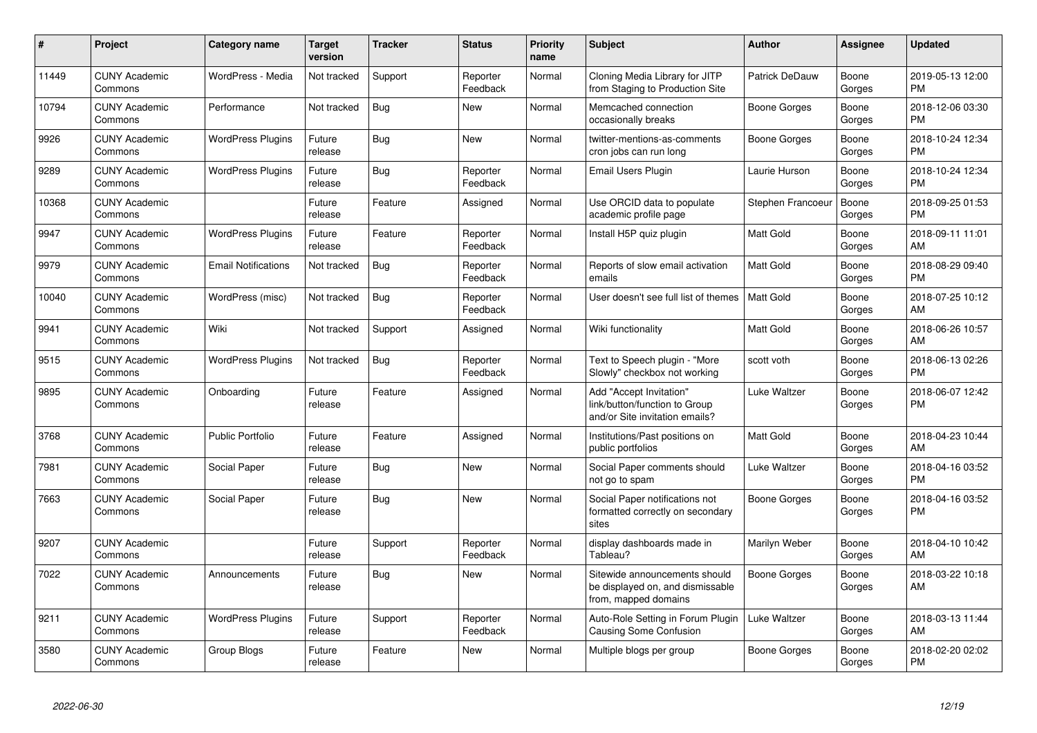| $\pmb{\#}$ | Project                         | <b>Category name</b>       | <b>Target</b><br>version | <b>Tracker</b> | <b>Status</b>        | <b>Priority</b><br>name | <b>Subject</b>                                                                             | <b>Author</b>         | Assignee        | <b>Updated</b>                |
|------------|---------------------------------|----------------------------|--------------------------|----------------|----------------------|-------------------------|--------------------------------------------------------------------------------------------|-----------------------|-----------------|-------------------------------|
| 11449      | <b>CUNY Academic</b><br>Commons | WordPress - Media          | Not tracked              | Support        | Reporter<br>Feedback | Normal                  | Cloning Media Library for JITP<br>from Staging to Production Site                          | <b>Patrick DeDauw</b> | Boone<br>Gorges | 2019-05-13 12:00<br><b>PM</b> |
| 10794      | <b>CUNY Academic</b><br>Commons | Performance                | Not tracked              | Bug            | <b>New</b>           | Normal                  | Memcached connection<br>occasionally breaks                                                | Boone Gorges          | Boone<br>Gorges | 2018-12-06 03:30<br><b>PM</b> |
| 9926       | <b>CUNY Academic</b><br>Commons | <b>WordPress Plugins</b>   | Future<br>release        | Bug            | New                  | Normal                  | twitter-mentions-as-comments<br>cron jobs can run long                                     | Boone Gorges          | Boone<br>Gorges | 2018-10-24 12:34<br><b>PM</b> |
| 9289       | <b>CUNY Academic</b><br>Commons | <b>WordPress Plugins</b>   | Future<br>release        | Bug            | Reporter<br>Feedback | Normal                  | Email Users Plugin                                                                         | Laurie Hurson         | Boone<br>Gorges | 2018-10-24 12:34<br><b>PM</b> |
| 10368      | <b>CUNY Academic</b><br>Commons |                            | Future<br>release        | Feature        | Assigned             | Normal                  | Use ORCID data to populate<br>academic profile page                                        | Stephen Francoeur     | Boone<br>Gorges | 2018-09-25 01:53<br><b>PM</b> |
| 9947       | <b>CUNY Academic</b><br>Commons | <b>WordPress Plugins</b>   | Future<br>release        | Feature        | Reporter<br>Feedback | Normal                  | Install H5P quiz plugin                                                                    | Matt Gold             | Boone<br>Gorges | 2018-09-11 11:01<br>AM        |
| 9979       | <b>CUNY Academic</b><br>Commons | <b>Email Notifications</b> | Not tracked              | <b>Bug</b>     | Reporter<br>Feedback | Normal                  | Reports of slow email activation<br>emails                                                 | <b>Matt Gold</b>      | Boone<br>Gorges | 2018-08-29 09:40<br><b>PM</b> |
| 10040      | <b>CUNY Academic</b><br>Commons | WordPress (misc)           | Not tracked              | <b>Bug</b>     | Reporter<br>Feedback | Normal                  | User doesn't see full list of themes                                                       | <b>Matt Gold</b>      | Boone<br>Gorges | 2018-07-25 10:12<br>AM        |
| 9941       | <b>CUNY Academic</b><br>Commons | Wiki                       | Not tracked              | Support        | Assigned             | Normal                  | Wiki functionality                                                                         | <b>Matt Gold</b>      | Boone<br>Gorges | 2018-06-26 10:57<br>AM        |
| 9515       | <b>CUNY Academic</b><br>Commons | <b>WordPress Plugins</b>   | Not tracked              | <b>Bug</b>     | Reporter<br>Feedback | Normal                  | Text to Speech plugin - "More<br>Slowly" checkbox not working                              | scott voth            | Boone<br>Gorges | 2018-06-13 02:26<br><b>PM</b> |
| 9895       | <b>CUNY Academic</b><br>Commons | Onboarding                 | Future<br>release        | Feature        | Assigned             | Normal                  | Add "Accept Invitation"<br>link/button/function to Group<br>and/or Site invitation emails? | Luke Waltzer          | Boone<br>Gorges | 2018-06-07 12:42<br><b>PM</b> |
| 3768       | <b>CUNY Academic</b><br>Commons | <b>Public Portfolio</b>    | Future<br>release        | Feature        | Assigned             | Normal                  | Institutions/Past positions on<br>public portfolios                                        | <b>Matt Gold</b>      | Boone<br>Gorges | 2018-04-23 10:44<br>AM        |
| 7981       | <b>CUNY Academic</b><br>Commons | Social Paper               | Future<br>release        | Bug            | <b>New</b>           | Normal                  | Social Paper comments should<br>not go to spam                                             | Luke Waltzer          | Boone<br>Gorges | 2018-04-16 03:52<br><b>PM</b> |
| 7663       | <b>CUNY Academic</b><br>Commons | Social Paper               | Future<br>release        | Bug            | <b>New</b>           | Normal                  | Social Paper notifications not<br>formatted correctly on secondary<br>sites                | Boone Gorges          | Boone<br>Gorges | 2018-04-16 03:52<br><b>PM</b> |
| 9207       | <b>CUNY Academic</b><br>Commons |                            | Future<br>release        | Support        | Reporter<br>Feedback | Normal                  | display dashboards made in<br>Tableau?                                                     | Marilyn Weber         | Boone<br>Gorges | 2018-04-10 10:42<br>AM        |
| 7022       | <b>CUNY Academic</b><br>Commons | Announcements              | Future<br>release        | <b>Bug</b>     | <b>New</b>           | Normal                  | Sitewide announcements should<br>be displayed on, and dismissable<br>from, mapped domains  | Boone Gorges          | Boone<br>Gorges | 2018-03-22 10:18<br>AM        |
| 9211       | <b>CUNY Academic</b><br>Commons | <b>WordPress Plugins</b>   | Future<br>release        | Support        | Reporter<br>Feedback | Normal                  | Auto-Role Setting in Forum Plugin<br>Causing Some Confusion                                | Luke Waltzer          | Boone<br>Gorges | 2018-03-13 11:44<br>AM        |
| 3580       | <b>CUNY Academic</b><br>Commons | Group Blogs                | Future<br>release        | Feature        | <b>New</b>           | Normal                  | Multiple blogs per group                                                                   | Boone Gorges          | Boone<br>Gorges | 2018-02-20 02:02<br><b>PM</b> |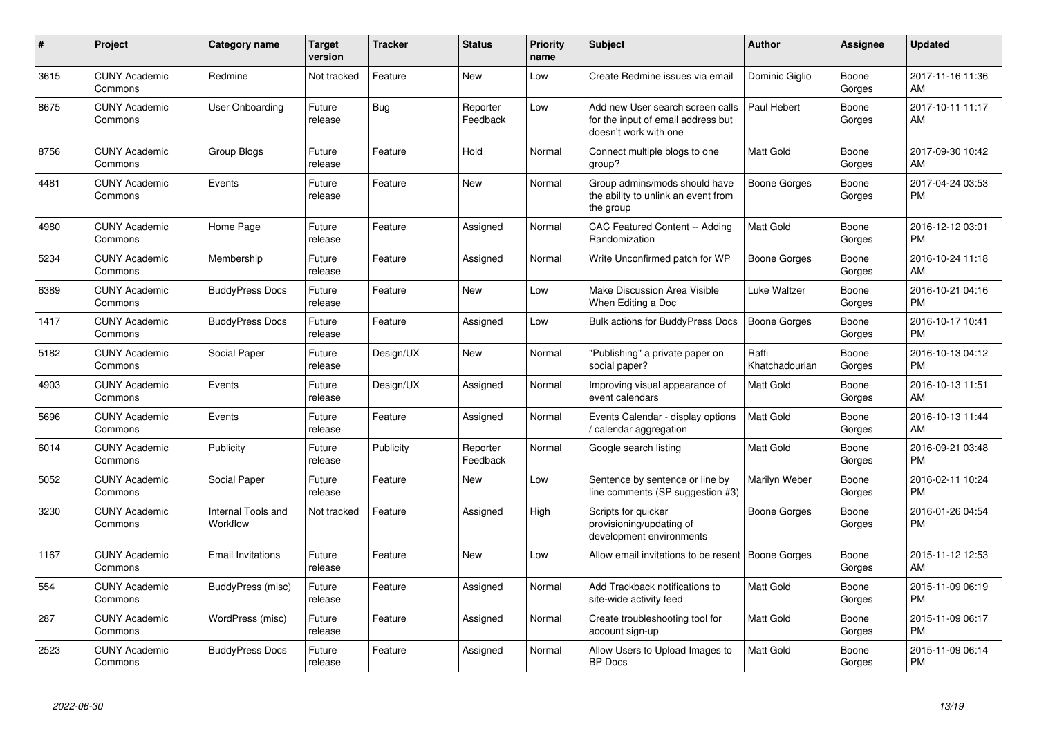| #    | Project                         | <b>Category name</b>           | <b>Target</b><br>version | <b>Tracker</b> | <b>Status</b>        | <b>Priority</b><br>name | <b>Subject</b>                                                                                  | <b>Author</b>           | <b>Assignee</b> | <b>Updated</b>                |
|------|---------------------------------|--------------------------------|--------------------------|----------------|----------------------|-------------------------|-------------------------------------------------------------------------------------------------|-------------------------|-----------------|-------------------------------|
| 3615 | <b>CUNY Academic</b><br>Commons | Redmine                        | Not tracked              | Feature        | <b>New</b>           | Low                     | Create Redmine issues via email                                                                 | Dominic Giglio          | Boone<br>Gorges | 2017-11-16 11:36<br>AM        |
| 8675 | <b>CUNY Academic</b><br>Commons | <b>User Onboarding</b>         | Future<br>release        | <b>Bug</b>     | Reporter<br>Feedback | Low                     | Add new User search screen calls<br>for the input of email address but<br>doesn't work with one | Paul Hebert             | Boone<br>Gorges | 2017-10-11 11:17<br>AM        |
| 8756 | <b>CUNY Academic</b><br>Commons | Group Blogs                    | Future<br>release        | Feature        | Hold                 | Normal                  | Connect multiple blogs to one<br>group?                                                         | <b>Matt Gold</b>        | Boone<br>Gorges | 2017-09-30 10:42<br>AM        |
| 4481 | <b>CUNY Academic</b><br>Commons | Events                         | Future<br>release        | Feature        | New                  | Normal                  | Group admins/mods should have<br>the ability to unlink an event from<br>the group               | <b>Boone Gorges</b>     | Boone<br>Gorges | 2017-04-24 03:53<br><b>PM</b> |
| 4980 | <b>CUNY Academic</b><br>Commons | Home Page                      | Future<br>release        | Feature        | Assigned             | Normal                  | CAC Featured Content -- Adding<br>Randomization                                                 | <b>Matt Gold</b>        | Boone<br>Gorges | 2016-12-12 03:01<br><b>PM</b> |
| 5234 | <b>CUNY Academic</b><br>Commons | Membership                     | Future<br>release        | Feature        | Assigned             | Normal                  | Write Unconfirmed patch for WP                                                                  | Boone Gorges            | Boone<br>Gorges | 2016-10-24 11:18<br>AM        |
| 6389 | <b>CUNY Academic</b><br>Commons | <b>BuddyPress Docs</b>         | Future<br>release        | Feature        | New                  | Low                     | Make Discussion Area Visible<br>When Editing a Doc                                              | Luke Waltzer            | Boone<br>Gorges | 2016-10-21 04:16<br><b>PM</b> |
| 1417 | <b>CUNY Academic</b><br>Commons | <b>BuddyPress Docs</b>         | Future<br>release        | Feature        | Assigned             | Low                     | <b>Bulk actions for BuddyPress Docs</b>                                                         | Boone Gorges            | Boone<br>Gorges | 2016-10-17 10:41<br><b>PM</b> |
| 5182 | <b>CUNY Academic</b><br>Commons | Social Paper                   | Future<br>release        | Design/UX      | New                  | Normal                  | "Publishing" a private paper on<br>social paper?                                                | Raffi<br>Khatchadourian | Boone<br>Gorges | 2016-10-13 04:12<br><b>PM</b> |
| 4903 | <b>CUNY Academic</b><br>Commons | Events                         | Future<br>release        | Design/UX      | Assigned             | Normal                  | Improving visual appearance of<br>event calendars                                               | Matt Gold               | Boone<br>Gorges | 2016-10-13 11:51<br>AM        |
| 5696 | <b>CUNY Academic</b><br>Commons | Events                         | Future<br>release        | Feature        | Assigned             | Normal                  | Events Calendar - display options<br>/ calendar aggregation                                     | <b>Matt Gold</b>        | Boone<br>Gorges | 2016-10-13 11:44<br>AM        |
| 6014 | <b>CUNY Academic</b><br>Commons | Publicity                      | Future<br>release        | Publicity      | Reporter<br>Feedback | Normal                  | Google search listing                                                                           | <b>Matt Gold</b>        | Boone<br>Gorges | 2016-09-21 03:48<br><b>PM</b> |
| 5052 | <b>CUNY Academic</b><br>Commons | Social Paper                   | Future<br>release        | Feature        | New                  | Low                     | Sentence by sentence or line by<br>line comments (SP suggestion #3)                             | Marilyn Weber           | Boone<br>Gorges | 2016-02-11 10:24<br><b>PM</b> |
| 3230 | <b>CUNY Academic</b><br>Commons | Internal Tools and<br>Workflow | Not tracked              | Feature        | Assigned             | High                    | Scripts for quicker<br>provisioning/updating of<br>development environments                     | Boone Gorges            | Boone<br>Gorges | 2016-01-26 04:54<br><b>PM</b> |
| 1167 | <b>CUNY Academic</b><br>Commons | <b>Email Invitations</b>       | Future<br>release        | Feature        | <b>New</b>           | Low                     | Allow email invitations to be resent                                                            | Boone Gorges            | Boone<br>Gorges | 2015-11-12 12:53<br>AM        |
| 554  | <b>CUNY Academic</b><br>Commons | BuddyPress (misc)              | Future<br>release        | Feature        | Assigned             | Normal                  | Add Trackback notifications to<br>site-wide activity feed                                       | <b>Matt Gold</b>        | Boone<br>Gorges | 2015-11-09 06:19<br><b>PM</b> |
| 287  | <b>CUNY Academic</b><br>Commons | WordPress (misc)               | Future<br>release        | Feature        | Assigned             | Normal                  | Create troubleshooting tool for<br>account sign-up                                              | <b>Matt Gold</b>        | Boone<br>Gorges | 2015-11-09 06:17<br><b>PM</b> |
| 2523 | <b>CUNY Academic</b><br>Commons | <b>BuddyPress Docs</b>         | Future<br>release        | Feature        | Assigned             | Normal                  | Allow Users to Upload Images to<br><b>BP</b> Docs                                               | <b>Matt Gold</b>        | Boone<br>Gorges | 2015-11-09 06:14<br><b>PM</b> |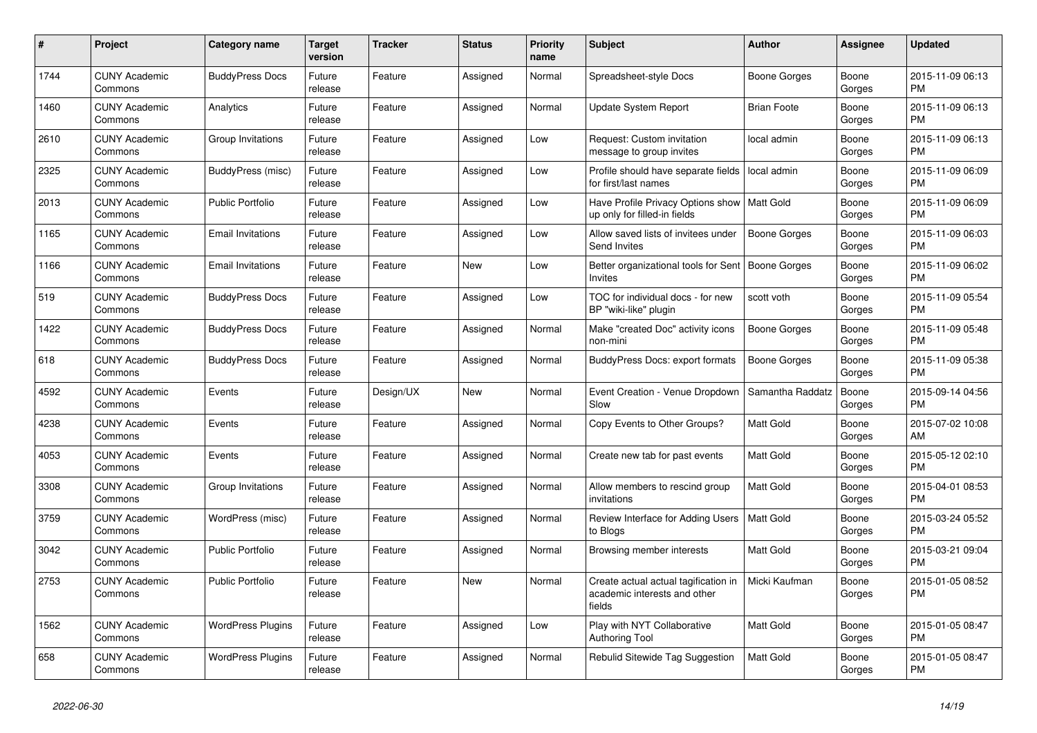| #    | Project                         | Category name            | <b>Target</b><br>version | Tracker   | <b>Status</b> | <b>Priority</b><br>name | <b>Subject</b>                                                                 | <b>Author</b>       | Assignee        | <b>Updated</b>                |
|------|---------------------------------|--------------------------|--------------------------|-----------|---------------|-------------------------|--------------------------------------------------------------------------------|---------------------|-----------------|-------------------------------|
| 1744 | <b>CUNY Academic</b><br>Commons | <b>BuddyPress Docs</b>   | Future<br>release        | Feature   | Assigned      | Normal                  | Spreadsheet-style Docs                                                         | Boone Gorges        | Boone<br>Gorges | 2015-11-09 06:13<br><b>PM</b> |
| 1460 | <b>CUNY Academic</b><br>Commons | Analytics                | Future<br>release        | Feature   | Assigned      | Normal                  | Update System Report                                                           | <b>Brian Foote</b>  | Boone<br>Gorges | 2015-11-09 06:13<br><b>PM</b> |
| 2610 | <b>CUNY Academic</b><br>Commons | Group Invitations        | Future<br>release        | Feature   | Assigned      | Low                     | Request: Custom invitation<br>message to group invites                         | local admin         | Boone<br>Gorges | 2015-11-09 06:13<br><b>PM</b> |
| 2325 | <b>CUNY Academic</b><br>Commons | BuddyPress (misc)        | Future<br>release        | Feature   | Assigned      | Low                     | Profile should have separate fields<br>for first/last names                    | local admin         | Boone<br>Gorges | 2015-11-09 06:09<br><b>PM</b> |
| 2013 | <b>CUNY Academic</b><br>Commons | <b>Public Portfolio</b>  | Future<br>release        | Feature   | Assigned      | Low                     | Have Profile Privacy Options show   Matt Gold<br>up only for filled-in fields  |                     | Boone<br>Gorges | 2015-11-09 06:09<br><b>PM</b> |
| 1165 | <b>CUNY Academic</b><br>Commons | <b>Email Invitations</b> | Future<br>release        | Feature   | Assigned      | Low                     | Allow saved lists of invitees under<br><b>Send Invites</b>                     | <b>Boone Gorges</b> | Boone<br>Gorges | 2015-11-09 06:03<br><b>PM</b> |
| 1166 | <b>CUNY Academic</b><br>Commons | <b>Email Invitations</b> | Future<br>release        | Feature   | New           | Low                     | Better organizational tools for Sent<br><b>Invites</b>                         | Boone Gorges        | Boone<br>Gorges | 2015-11-09 06:02<br><b>PM</b> |
| 519  | <b>CUNY Academic</b><br>Commons | <b>BuddyPress Docs</b>   | Future<br>release        | Feature   | Assigned      | Low                     | TOC for individual docs - for new<br>BP "wiki-like" plugin                     | scott voth          | Boone<br>Gorges | 2015-11-09 05:54<br><b>PM</b> |
| 1422 | <b>CUNY Academic</b><br>Commons | <b>BuddyPress Docs</b>   | Future<br>release        | Feature   | Assigned      | Normal                  | Make "created Doc" activity icons<br>non-mini                                  | Boone Gorges        | Boone<br>Gorges | 2015-11-09 05:48<br><b>PM</b> |
| 618  | <b>CUNY Academic</b><br>Commons | <b>BuddyPress Docs</b>   | Future<br>release        | Feature   | Assigned      | Normal                  | <b>BuddyPress Docs: export formats</b>                                         | Boone Gorges        | Boone<br>Gorges | 2015-11-09 05:38<br><b>PM</b> |
| 4592 | <b>CUNY Academic</b><br>Commons | Events                   | Future<br>release        | Design/UX | <b>New</b>    | Normal                  | Event Creation - Venue Dropdown<br>Slow                                        | Samantha Raddatz    | Boone<br>Gorges | 2015-09-14 04:56<br><b>PM</b> |
| 4238 | <b>CUNY Academic</b><br>Commons | Events                   | Future<br>release        | Feature   | Assigned      | Normal                  | Copy Events to Other Groups?                                                   | <b>Matt Gold</b>    | Boone<br>Gorges | 2015-07-02 10:08<br>AM        |
| 4053 | <b>CUNY Academic</b><br>Commons | Events                   | Future<br>release        | Feature   | Assigned      | Normal                  | Create new tab for past events                                                 | <b>Matt Gold</b>    | Boone<br>Gorges | 2015-05-12 02:10<br><b>PM</b> |
| 3308 | <b>CUNY Academic</b><br>Commons | Group Invitations        | Future<br>release        | Feature   | Assigned      | Normal                  | Allow members to rescind group<br>invitations                                  | <b>Matt Gold</b>    | Boone<br>Gorges | 2015-04-01 08:53<br><b>PM</b> |
| 3759 | <b>CUNY Academic</b><br>Commons | WordPress (misc)         | Future<br>release        | Feature   | Assigned      | Normal                  | Review Interface for Adding Users<br>to Blogs                                  | <b>Matt Gold</b>    | Boone<br>Gorges | 2015-03-24 05:52<br><b>PM</b> |
| 3042 | <b>CUNY Academic</b><br>Commons | <b>Public Portfolio</b>  | Future<br>release        | Feature   | Assigned      | Normal                  | Browsing member interests                                                      | Matt Gold           | Boone<br>Gorges | 2015-03-21 09:04<br><b>PM</b> |
| 2753 | <b>CUNY Academic</b><br>Commons | <b>Public Portfolio</b>  | Future<br>release        | Feature   | <b>New</b>    | Normal                  | Create actual actual tagification in<br>academic interests and other<br>fields | Micki Kaufman       | Boone<br>Gorges | 2015-01-05 08:52<br><b>PM</b> |
| 1562 | <b>CUNY Academic</b><br>Commons | <b>WordPress Plugins</b> | Future<br>release        | Feature   | Assigned      | Low                     | Play with NYT Collaborative<br><b>Authoring Tool</b>                           | <b>Matt Gold</b>    | Boone<br>Gorges | 2015-01-05 08:47<br><b>PM</b> |
| 658  | <b>CUNY Academic</b><br>Commons | <b>WordPress Plugins</b> | Future<br>release        | Feature   | Assigned      | Normal                  | Rebulid Sitewide Tag Suggestion                                                | <b>Matt Gold</b>    | Boone<br>Gorges | 2015-01-05 08:47<br><b>PM</b> |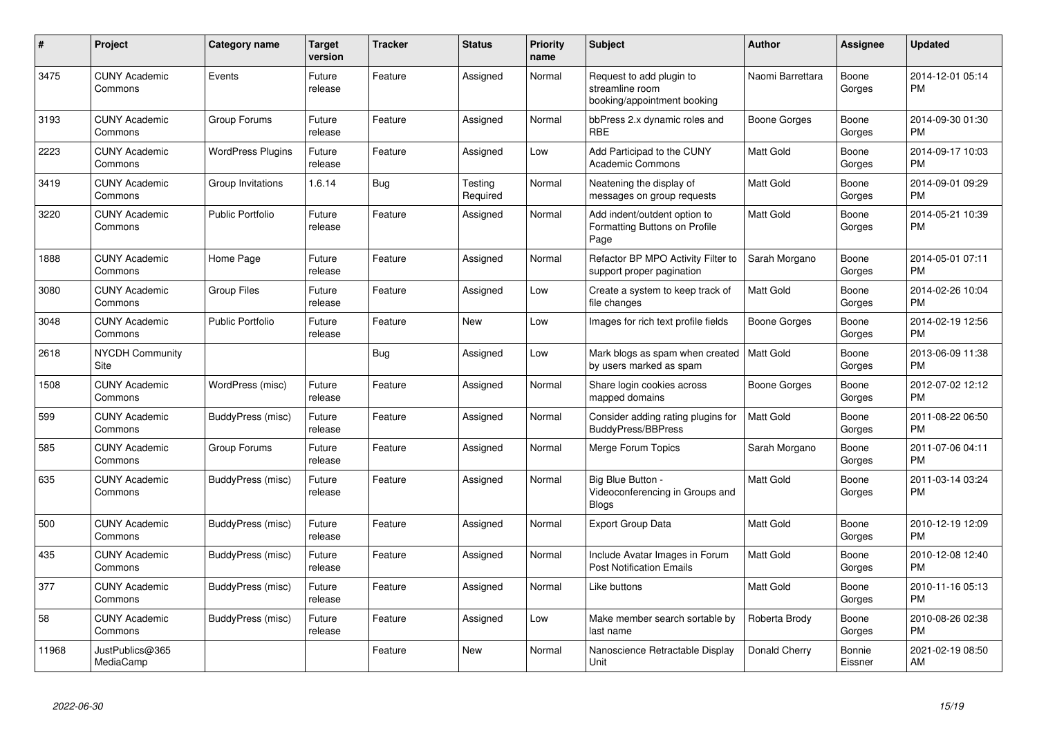| #     | Project                         | <b>Category name</b>     | <b>Target</b><br>version | <b>Tracker</b> | <b>Status</b>       | <b>Priority</b><br>name | <b>Subject</b>                                                             | <b>Author</b>    | Assignee          | <b>Updated</b>                |
|-------|---------------------------------|--------------------------|--------------------------|----------------|---------------------|-------------------------|----------------------------------------------------------------------------|------------------|-------------------|-------------------------------|
| 3475  | <b>CUNY Academic</b><br>Commons | Events                   | Future<br>release        | Feature        | Assigned            | Normal                  | Request to add plugin to<br>streamline room<br>booking/appointment booking | Naomi Barrettara | Boone<br>Gorges   | 2014-12-01 05:14<br><b>PM</b> |
| 3193  | <b>CUNY Academic</b><br>Commons | Group Forums             | Future<br>release        | Feature        | Assigned            | Normal                  | bbPress 2.x dynamic roles and<br><b>RBE</b>                                | Boone Gorges     | Boone<br>Gorges   | 2014-09-30 01:30<br><b>PM</b> |
| 2223  | <b>CUNY Academic</b><br>Commons | <b>WordPress Plugins</b> | Future<br>release        | Feature        | Assigned            | Low                     | Add Participad to the CUNY<br><b>Academic Commons</b>                      | Matt Gold        | Boone<br>Gorges   | 2014-09-17 10:03<br><b>PM</b> |
| 3419  | <b>CUNY Academic</b><br>Commons | Group Invitations        | 1.6.14                   | Bug            | Testing<br>Required | Normal                  | Neatening the display of<br>messages on group requests                     | <b>Matt Gold</b> | Boone<br>Gorges   | 2014-09-01 09:29<br><b>PM</b> |
| 3220  | <b>CUNY Academic</b><br>Commons | <b>Public Portfolio</b>  | Future<br>release        | Feature        | Assigned            | Normal                  | Add indent/outdent option to<br>Formatting Buttons on Profile<br>Page      | <b>Matt Gold</b> | Boone<br>Gorges   | 2014-05-21 10:39<br><b>PM</b> |
| 1888  | <b>CUNY Academic</b><br>Commons | Home Page                | Future<br>release        | Feature        | Assigned            | Normal                  | Refactor BP MPO Activity Filter to<br>support proper pagination            | Sarah Morgano    | Boone<br>Gorges   | 2014-05-01 07:11<br><b>PM</b> |
| 3080  | <b>CUNY Academic</b><br>Commons | <b>Group Files</b>       | Future<br>release        | Feature        | Assigned            | Low                     | Create a system to keep track of<br>file changes                           | <b>Matt Gold</b> | Boone<br>Gorges   | 2014-02-26 10:04<br><b>PM</b> |
| 3048  | <b>CUNY Academic</b><br>Commons | <b>Public Portfolio</b>  | Future<br>release        | Feature        | <b>New</b>          | Low                     | Images for rich text profile fields                                        | Boone Gorges     | Boone<br>Gorges   | 2014-02-19 12:56<br><b>PM</b> |
| 2618  | <b>NYCDH Community</b><br>Site  |                          |                          | Bug            | Assigned            | Low                     | Mark blogs as spam when created<br>by users marked as spam                 | Matt Gold        | Boone<br>Gorges   | 2013-06-09 11:38<br><b>PM</b> |
| 1508  | <b>CUNY Academic</b><br>Commons | WordPress (misc)         | Future<br>release        | Feature        | Assigned            | Normal                  | Share login cookies across<br>mapped domains                               | Boone Gorges     | Boone<br>Gorges   | 2012-07-02 12:12<br><b>PM</b> |
| 599   | <b>CUNY Academic</b><br>Commons | BuddyPress (misc)        | Future<br>release        | Feature        | Assigned            | Normal                  | Consider adding rating plugins for<br><b>BuddyPress/BBPress</b>            | <b>Matt Gold</b> | Boone<br>Gorges   | 2011-08-22 06:50<br><b>PM</b> |
| 585   | <b>CUNY Academic</b><br>Commons | Group Forums             | Future<br>release        | Feature        | Assigned            | Normal                  | Merge Forum Topics                                                         | Sarah Morgano    | Boone<br>Gorges   | 2011-07-06 04:11<br><b>PM</b> |
| 635   | <b>CUNY Academic</b><br>Commons | BuddyPress (misc)        | Future<br>release        | Feature        | Assigned            | Normal                  | Big Blue Button -<br>Videoconferencing in Groups and<br><b>Blogs</b>       | <b>Matt Gold</b> | Boone<br>Gorges   | 2011-03-14 03:24<br><b>PM</b> |
| 500   | <b>CUNY Academic</b><br>Commons | BuddyPress (misc)        | Future<br>release        | Feature        | Assigned            | Normal                  | Export Group Data                                                          | <b>Matt Gold</b> | Boone<br>Gorges   | 2010-12-19 12:09<br><b>PM</b> |
| 435   | <b>CUNY Academic</b><br>Commons | BuddyPress (misc)        | Future<br>release        | Feature        | Assigned            | Normal                  | Include Avatar Images in Forum<br><b>Post Notification Emails</b>          | <b>Matt Gold</b> | Boone<br>Gorges   | 2010-12-08 12:40<br><b>PM</b> |
| 377   | <b>CUNY Academic</b><br>Commons | BuddyPress (misc)        | Future<br>release        | Feature        | Assigned            | Normal                  | Like buttons                                                               | <b>Matt Gold</b> | Boone<br>Gorges   | 2010-11-16 05:13<br><b>PM</b> |
| 58    | <b>CUNY Academic</b><br>Commons | BuddyPress (misc)        | Future<br>release        | Feature        | Assigned            | Low                     | Make member search sortable by<br>last name                                | Roberta Brody    | Boone<br>Gorges   | 2010-08-26 02:38<br><b>PM</b> |
| 11968 | JustPublics@365<br>MediaCamp    |                          |                          | Feature        | New                 | Normal                  | Nanoscience Retractable Display<br>Unit                                    | Donald Cherry    | Bonnie<br>Eissner | 2021-02-19 08:50<br>AM        |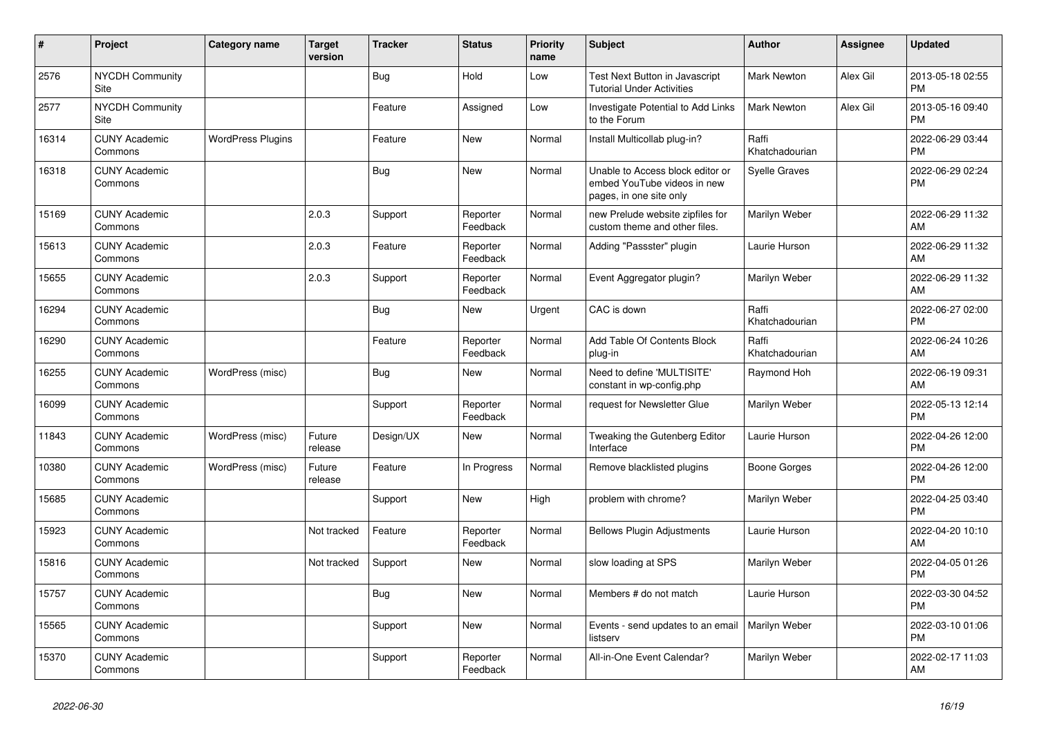| $\vert$ # | Project                         | Category name            | <b>Target</b><br>version | <b>Tracker</b> | <b>Status</b>        | <b>Priority</b><br>name | <b>Subject</b>                                                                             | <b>Author</b>           | Assignee | <b>Updated</b>                |
|-----------|---------------------------------|--------------------------|--------------------------|----------------|----------------------|-------------------------|--------------------------------------------------------------------------------------------|-------------------------|----------|-------------------------------|
| 2576      | <b>NYCDH Community</b><br>Site  |                          |                          | <b>Bug</b>     | Hold                 | Low                     | Test Next Button in Javascript<br><b>Tutorial Under Activities</b>                         | <b>Mark Newton</b>      | Alex Gil | 2013-05-18 02:55<br><b>PM</b> |
| 2577      | <b>NYCDH Community</b><br>Site  |                          |                          | Feature        | Assigned             | Low                     | Investigate Potential to Add Links<br>to the Forum                                         | <b>Mark Newton</b>      | Alex Gil | 2013-05-16 09:40<br><b>PM</b> |
| 16314     | <b>CUNY Academic</b><br>Commons | <b>WordPress Plugins</b> |                          | Feature        | <b>New</b>           | Normal                  | Install Multicollab plug-in?                                                               | Raffi<br>Khatchadourian |          | 2022-06-29 03:44<br><b>PM</b> |
| 16318     | <b>CUNY Academic</b><br>Commons |                          |                          | <b>Bug</b>     | <b>New</b>           | Normal                  | Unable to Access block editor or<br>embed YouTube videos in new<br>pages, in one site only | Syelle Graves           |          | 2022-06-29 02:24<br><b>PM</b> |
| 15169     | <b>CUNY Academic</b><br>Commons |                          | 2.0.3                    | Support        | Reporter<br>Feedback | Normal                  | new Prelude website zipfiles for<br>custom theme and other files.                          | Marilyn Weber           |          | 2022-06-29 11:32<br>AM        |
| 15613     | <b>CUNY Academic</b><br>Commons |                          | 2.0.3                    | Feature        | Reporter<br>Feedback | Normal                  | Adding "Passster" plugin                                                                   | Laurie Hurson           |          | 2022-06-29 11:32<br>AM        |
| 15655     | <b>CUNY Academic</b><br>Commons |                          | 2.0.3                    | Support        | Reporter<br>Feedback | Normal                  | Event Aggregator plugin?                                                                   | Marilyn Weber           |          | 2022-06-29 11:32<br>AM        |
| 16294     | <b>CUNY Academic</b><br>Commons |                          |                          | Bug            | <b>New</b>           | Urgent                  | CAC is down                                                                                | Raffi<br>Khatchadourian |          | 2022-06-27 02:00<br><b>PM</b> |
| 16290     | <b>CUNY Academic</b><br>Commons |                          |                          | Feature        | Reporter<br>Feedback | Normal                  | Add Table Of Contents Block<br>plug-in                                                     | Raffi<br>Khatchadourian |          | 2022-06-24 10:26<br>AM        |
| 16255     | <b>CUNY Academic</b><br>Commons | WordPress (misc)         |                          | Bug            | <b>New</b>           | Normal                  | Need to define 'MULTISITE'<br>constant in wp-config.php                                    | Raymond Hoh             |          | 2022-06-19 09:31<br>AM        |
| 16099     | <b>CUNY Academic</b><br>Commons |                          |                          | Support        | Reporter<br>Feedback | Normal                  | request for Newsletter Glue                                                                | Marilyn Weber           |          | 2022-05-13 12:14<br><b>PM</b> |
| 11843     | <b>CUNY Academic</b><br>Commons | WordPress (misc)         | Future<br>release        | Design/UX      | <b>New</b>           | Normal                  | Tweaking the Gutenberg Editor<br>Interface                                                 | Laurie Hurson           |          | 2022-04-26 12:00<br><b>PM</b> |
| 10380     | <b>CUNY Academic</b><br>Commons | WordPress (misc)         | Future<br>release        | Feature        | In Progress          | Normal                  | Remove blacklisted plugins                                                                 | Boone Gorges            |          | 2022-04-26 12:00<br><b>PM</b> |
| 15685     | <b>CUNY Academic</b><br>Commons |                          |                          | Support        | <b>New</b>           | High                    | problem with chrome?                                                                       | Marilyn Weber           |          | 2022-04-25 03:40<br><b>PM</b> |
| 15923     | <b>CUNY Academic</b><br>Commons |                          | Not tracked              | Feature        | Reporter<br>Feedback | Normal                  | <b>Bellows Plugin Adjustments</b>                                                          | Laurie Hurson           |          | 2022-04-20 10:10<br>AM        |
| 15816     | <b>CUNY Academic</b><br>Commons |                          | Not tracked              | Support        | <b>New</b>           | Normal                  | slow loading at SPS                                                                        | Marilyn Weber           |          | 2022-04-05 01:26<br><b>PM</b> |
| 15757     | <b>CUNY Academic</b><br>Commons |                          |                          | Bug            | <b>New</b>           | Normal                  | Members # do not match                                                                     | Laurie Hurson           |          | 2022-03-30 04:52<br><b>PM</b> |
| 15565     | <b>CUNY Academic</b><br>Commons |                          |                          | Support        | <b>New</b>           | Normal                  | Events - send updates to an email<br>listserv                                              | Marilyn Weber           |          | 2022-03-10 01:06<br><b>PM</b> |
| 15370     | <b>CUNY Academic</b><br>Commons |                          |                          | Support        | Reporter<br>Feedback | Normal                  | All-in-One Event Calendar?                                                                 | Marilyn Weber           |          | 2022-02-17 11:03<br>AM        |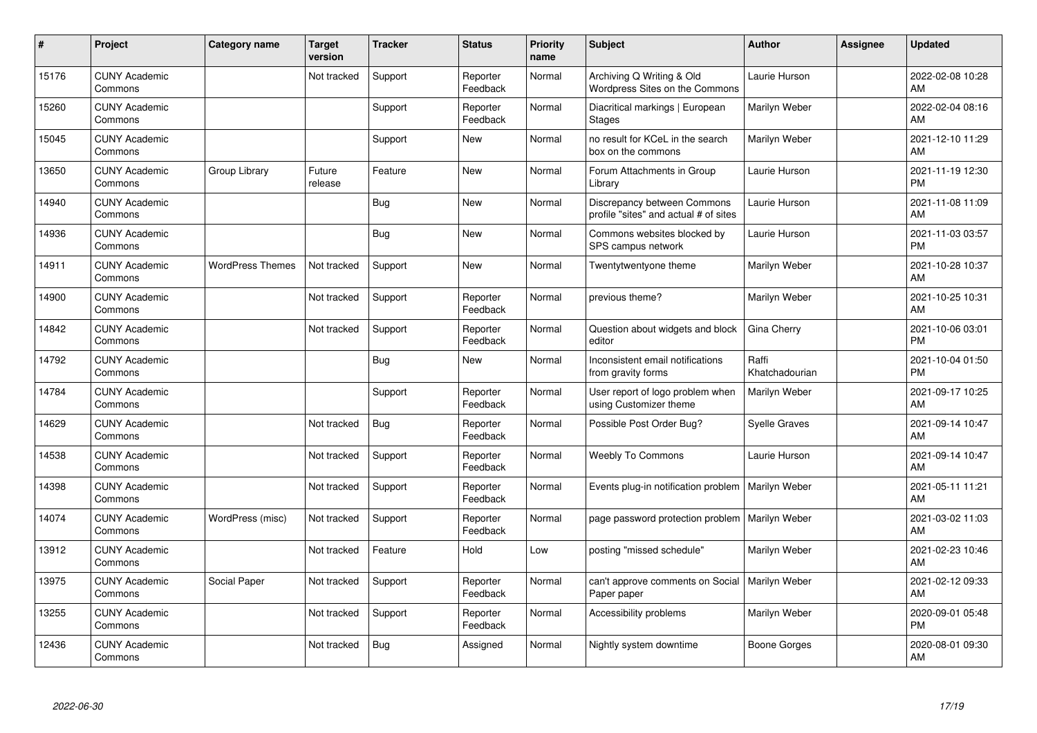| #     | Project                         | <b>Category name</b>    | <b>Target</b><br>version | <b>Tracker</b> | <b>Status</b>        | Priority<br>name | <b>Subject</b>                                                       | <b>Author</b>           | <b>Assignee</b> | <b>Updated</b>                |
|-------|---------------------------------|-------------------------|--------------------------|----------------|----------------------|------------------|----------------------------------------------------------------------|-------------------------|-----------------|-------------------------------|
| 15176 | <b>CUNY Academic</b><br>Commons |                         | Not tracked              | Support        | Reporter<br>Feedback | Normal           | Archiving Q Writing & Old<br>Wordpress Sites on the Commons          | Laurie Hurson           |                 | 2022-02-08 10:28<br>AM        |
| 15260 | <b>CUNY Academic</b><br>Commons |                         |                          | Support        | Reporter<br>Feedback | Normal           | Diacritical markings   European<br><b>Stages</b>                     | Marilyn Weber           |                 | 2022-02-04 08:16<br>AM        |
| 15045 | <b>CUNY Academic</b><br>Commons |                         |                          | Support        | <b>New</b>           | Normal           | no result for KCeL in the search<br>box on the commons               | Marilyn Weber           |                 | 2021-12-10 11:29<br>AM        |
| 13650 | <b>CUNY Academic</b><br>Commons | Group Library           | Future<br>release        | Feature        | <b>New</b>           | Normal           | Forum Attachments in Group<br>Library                                | Laurie Hurson           |                 | 2021-11-19 12:30<br><b>PM</b> |
| 14940 | <b>CUNY Academic</b><br>Commons |                         |                          | <b>Bug</b>     | <b>New</b>           | Normal           | Discrepancy between Commons<br>profile "sites" and actual # of sites | Laurie Hurson           |                 | 2021-11-08 11:09<br>AM        |
| 14936 | <b>CUNY Academic</b><br>Commons |                         |                          | Bug            | <b>New</b>           | Normal           | Commons websites blocked by<br>SPS campus network                    | Laurie Hurson           |                 | 2021-11-03 03:57<br><b>PM</b> |
| 14911 | <b>CUNY Academic</b><br>Commons | <b>WordPress Themes</b> | Not tracked              | Support        | <b>New</b>           | Normal           | Twentytwentyone theme                                                | Marilyn Weber           |                 | 2021-10-28 10:37<br>AM        |
| 14900 | <b>CUNY Academic</b><br>Commons |                         | Not tracked              | Support        | Reporter<br>Feedback | Normal           | previous theme?                                                      | Marilyn Weber           |                 | 2021-10-25 10:31<br>AM        |
| 14842 | <b>CUNY Academic</b><br>Commons |                         | Not tracked              | Support        | Reporter<br>Feedback | Normal           | Question about widgets and block<br>editor                           | Gina Cherry             |                 | 2021-10-06 03:01<br><b>PM</b> |
| 14792 | <b>CUNY Academic</b><br>Commons |                         |                          | <b>Bug</b>     | <b>New</b>           | Normal           | Inconsistent email notifications<br>from gravity forms               | Raffi<br>Khatchadourian |                 | 2021-10-04 01:50<br><b>PM</b> |
| 14784 | <b>CUNY Academic</b><br>Commons |                         |                          | Support        | Reporter<br>Feedback | Normal           | User report of logo problem when<br>using Customizer theme           | Marilyn Weber           |                 | 2021-09-17 10:25<br>AM        |
| 14629 | <b>CUNY Academic</b><br>Commons |                         | Not tracked              | Bug            | Reporter<br>Feedback | Normal           | Possible Post Order Bug?                                             | <b>Syelle Graves</b>    |                 | 2021-09-14 10:47<br>AM        |
| 14538 | <b>CUNY Academic</b><br>Commons |                         | Not tracked              | Support        | Reporter<br>Feedback | Normal           | <b>Weebly To Commons</b>                                             | Laurie Hurson           |                 | 2021-09-14 10:47<br>AM        |
| 14398 | <b>CUNY Academic</b><br>Commons |                         | Not tracked              | Support        | Reporter<br>Feedback | Normal           | Events plug-in notification problem                                  | Marilyn Weber           |                 | 2021-05-11 11:21<br>AM        |
| 14074 | <b>CUNY Academic</b><br>Commons | WordPress (misc)        | Not tracked              | Support        | Reporter<br>Feedback | Normal           | page password protection problem                                     | Marilyn Weber           |                 | 2021-03-02 11:03<br>AM        |
| 13912 | <b>CUNY Academic</b><br>Commons |                         | Not tracked              | Feature        | Hold                 | Low              | posting "missed schedule"                                            | Marilyn Weber           |                 | 2021-02-23 10:46<br>AM        |
| 13975 | <b>CUNY Academic</b><br>Commons | Social Paper            | Not tracked              | Support        | Reporter<br>Feedback | Normal           | can't approve comments on Social<br>Paper paper                      | Marilyn Weber           |                 | 2021-02-12 09:33<br>AM        |
| 13255 | <b>CUNY Academic</b><br>Commons |                         | Not tracked              | Support        | Reporter<br>Feedback | Normal           | Accessibility problems                                               | Marilyn Weber           |                 | 2020-09-01 05:48<br><b>PM</b> |
| 12436 | <b>CUNY Academic</b><br>Commons |                         | Not tracked              | <b>Bug</b>     | Assigned             | Normal           | Nightly system downtime                                              | Boone Gorges            |                 | 2020-08-01 09:30<br>AM        |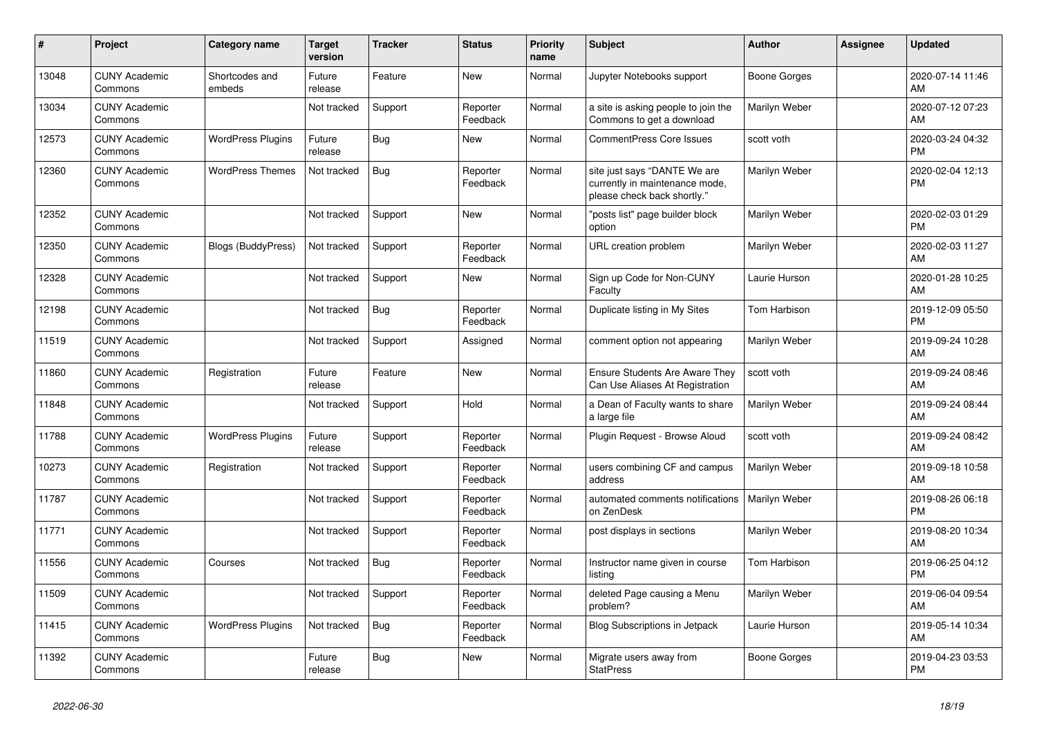| #     | <b>Project</b>                  | <b>Category name</b>     | <b>Target</b><br>version | <b>Tracker</b> | <b>Status</b>        | <b>Priority</b><br>name | <b>Subject</b>                                                                                | <b>Author</b> | Assignee | <b>Updated</b>                |
|-------|---------------------------------|--------------------------|--------------------------|----------------|----------------------|-------------------------|-----------------------------------------------------------------------------------------------|---------------|----------|-------------------------------|
| 13048 | <b>CUNY Academic</b><br>Commons | Shortcodes and<br>embeds | Future<br>release        | Feature        | New                  | Normal                  | Jupyter Notebooks support                                                                     | Boone Gorges  |          | 2020-07-14 11:46<br>AM        |
| 13034 | <b>CUNY Academic</b><br>Commons |                          | Not tracked              | Support        | Reporter<br>Feedback | Normal                  | a site is asking people to join the<br>Commons to get a download                              | Marilyn Weber |          | 2020-07-12 07:23<br>AM        |
| 12573 | <b>CUNY Academic</b><br>Commons | <b>WordPress Plugins</b> | Future<br>release        | Bug            | <b>New</b>           | Normal                  | <b>CommentPress Core Issues</b>                                                               | scott voth    |          | 2020-03-24 04:32<br><b>PM</b> |
| 12360 | <b>CUNY Academic</b><br>Commons | <b>WordPress Themes</b>  | Not tracked              | Bug            | Reporter<br>Feedback | Normal                  | site just says "DANTE We are<br>currently in maintenance mode,<br>please check back shortly." | Marilyn Weber |          | 2020-02-04 12:13<br><b>PM</b> |
| 12352 | <b>CUNY Academic</b><br>Commons |                          | Not tracked              | Support        | New                  | Normal                  | "posts list" page builder block<br>option                                                     | Marilyn Weber |          | 2020-02-03 01:29<br><b>PM</b> |
| 12350 | <b>CUNY Academic</b><br>Commons | Blogs (BuddyPress)       | Not tracked              | Support        | Reporter<br>Feedback | Normal                  | URL creation problem                                                                          | Marilyn Weber |          | 2020-02-03 11:27<br>AM        |
| 12328 | <b>CUNY Academic</b><br>Commons |                          | Not tracked              | Support        | <b>New</b>           | Normal                  | Sign up Code for Non-CUNY<br>Faculty                                                          | Laurie Hurson |          | 2020-01-28 10:25<br>AM        |
| 12198 | <b>CUNY Academic</b><br>Commons |                          | Not tracked              | Bug            | Reporter<br>Feedback | Normal                  | Duplicate listing in My Sites                                                                 | Tom Harbison  |          | 2019-12-09 05:50<br><b>PM</b> |
| 11519 | <b>CUNY Academic</b><br>Commons |                          | Not tracked              | Support        | Assigned             | Normal                  | comment option not appearing                                                                  | Marilyn Weber |          | 2019-09-24 10:28<br>AM        |
| 11860 | <b>CUNY Academic</b><br>Commons | Registration             | Future<br>release        | Feature        | New                  | Normal                  | <b>Ensure Students Are Aware They</b><br>Can Use Aliases At Registration                      | scott voth    |          | 2019-09-24 08:46<br>AM        |
| 11848 | <b>CUNY Academic</b><br>Commons |                          | Not tracked              | Support        | Hold                 | Normal                  | a Dean of Faculty wants to share<br>a large file                                              | Marilyn Weber |          | 2019-09-24 08:44<br>AM        |
| 11788 | <b>CUNY Academic</b><br>Commons | <b>WordPress Plugins</b> | Future<br>release        | Support        | Reporter<br>Feedback | Normal                  | Plugin Request - Browse Aloud                                                                 | scott voth    |          | 2019-09-24 08:42<br>AM        |
| 10273 | <b>CUNY Academic</b><br>Commons | Registration             | Not tracked              | Support        | Reporter<br>Feedback | Normal                  | users combining CF and campus<br>address                                                      | Marilyn Weber |          | 2019-09-18 10:58<br>AM        |
| 11787 | <b>CUNY Academic</b><br>Commons |                          | Not tracked              | Support        | Reporter<br>Feedback | Normal                  | automated comments notifications<br>on ZenDesk                                                | Marilyn Weber |          | 2019-08-26 06:18<br><b>PM</b> |
| 11771 | <b>CUNY Academic</b><br>Commons |                          | Not tracked              | Support        | Reporter<br>Feedback | Normal                  | post displays in sections                                                                     | Marilyn Weber |          | 2019-08-20 10:34<br>AM        |
| 11556 | <b>CUNY Academic</b><br>Commons | Courses                  | Not tracked              | <b>Bug</b>     | Reporter<br>Feedback | Normal                  | Instructor name given in course<br>listina                                                    | Tom Harbison  |          | 2019-06-25 04:12<br><b>PM</b> |
| 11509 | <b>CUNY Academic</b><br>Commons |                          | Not tracked              | Support        | Reporter<br>Feedback | Normal                  | deleted Page causing a Menu<br>problem?                                                       | Marilyn Weber |          | 2019-06-04 09:54<br>AM        |
| 11415 | <b>CUNY Academic</b><br>Commons | <b>WordPress Plugins</b> | Not tracked              | Bug            | Reporter<br>Feedback | Normal                  | <b>Blog Subscriptions in Jetpack</b>                                                          | Laurie Hurson |          | 2019-05-14 10:34<br>AM        |
| 11392 | <b>CUNY Academic</b><br>Commons |                          | Future<br>release        | Bug            | <b>New</b>           | Normal                  | Migrate users away from<br><b>StatPress</b>                                                   | Boone Gorges  |          | 2019-04-23 03:53<br><b>PM</b> |